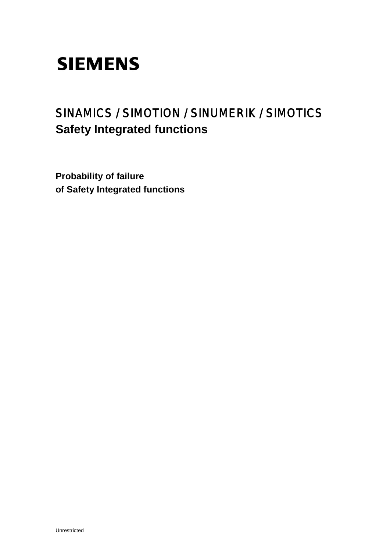## SINAMICS / SIMOTION / SINUMERIK / SIMOTICS **Safety Integrated functions**

**Probability of failure of Safety Integrated functions**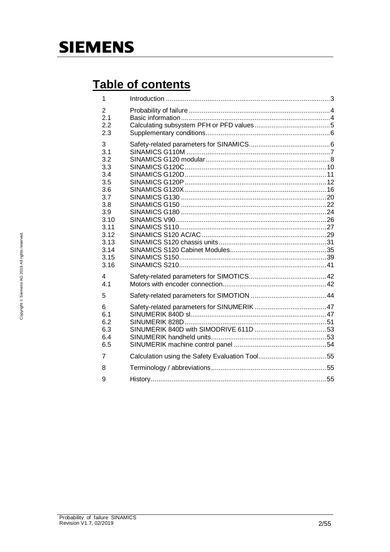## Table of contents

| 1                                                                                                                        |  |
|--------------------------------------------------------------------------------------------------------------------------|--|
| 2<br>2.1<br>2.2<br>2.3                                                                                                   |  |
| 3<br>3.1<br>3.2<br>3.3<br>3.4<br>3.5<br>3.6<br>3.7<br>3.8<br>3.9<br>3.10<br>3.11<br>3.12<br>3.13<br>3.14<br>3.15<br>3.16 |  |
| 4<br>4.1                                                                                                                 |  |
| 5                                                                                                                        |  |
| 6<br>6.1<br>6.2<br>6.3<br>6.4<br>6.5                                                                                     |  |
| 7                                                                                                                        |  |
| 8                                                                                                                        |  |
| 9                                                                                                                        |  |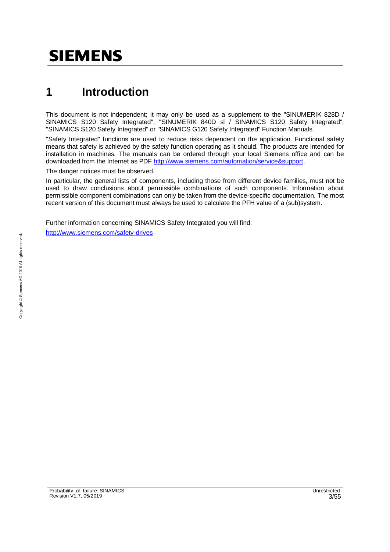## **1 Introduction**

This document is not independent; it may only be used as a supplement to the "SINUMERIK 828D / SINAMICS S120 Safety Integrated", "SINUMERIK 840D sl / SINAMICS S120 Safety Integrated", "SINAMICS S120 Safety Integrated" or "SINAMICS G120 Safety Integrated" Function Manuals.

"Safety Integrated" functions are used to reduce risks dependent on the application. Functional safety means that safety is achieved by the safety function operating as it should. The products are intended for installation in machines. The manuals can be ordered through your local Siemens office and can be downloaded from the Internet as PDF http://www.siemens.com/automation/service&support.

The danger notices must be observed.

In particular, the general lists of components, including those from different device families, must not be used to draw conclusions about permissible combinations of such components. Information about permissible component combinations can only be taken from the device-specific documentation. The most recent version of this document must always be used to calculate the PFH value of a (sub)system.

Further information concerning SINAMICS Safety Integrated you will find:

http://www.siemens.com/safety-drives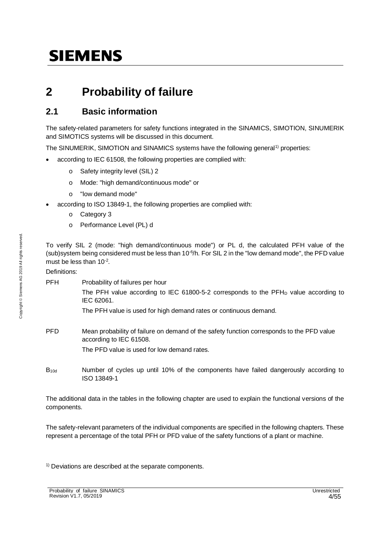### **2 Probability of failure**

### **2.1 Basic information**

The safety-related parameters for safety functions integrated in the SINAMICS, SIMOTION, SINUMERIK and SIMOTICS systems will be discussed in this document.

The SINUMERIK, SIMOTION and SINAMICS systems have the following general<sup>1)</sup> properties:

- according to IEC 61508, the following properties are complied with:
	- o Safety integrity level (SIL) 2
	- o Mode: "high demand/continuous mode" or
	- o "low demand mode"
	- according to ISO 13849-1, the following properties are complied with:
		- o Category 3
		- o Performance Level (PL) d

To verify SIL 2 (mode: "high demand/continuous mode") or PL d, the calculated PFH value of the (sub)system being considered must be less than 10-6/h. For SIL 2 in the "low demand mode", the PFD value must be less than  $10^{-2}$ .

Definitions:

PFH Probability of failures per hour

The PFH value according to IEC 61800-5-2 corresponds to the PFH<sub>D</sub> value according to IEC 62061.

The PFH value is used for high demand rates or continuous demand.

PFD Mean probability of failure on demand of the safety function corresponds to the PFD value according to IEC 61508.

The PFD value is used for low demand rates.

B10d Number of cycles up until 10% of the components have failed dangerously according to ISO 13849-1

The additional data in the tables in the following chapter are used to explain the functional versions of the components.

The safety-relevant parameters of the individual components are specified in the following chapters. These represent a percentage of the total PFH or PFD value of the safety functions of a plant or machine.

<sup>1)</sup> Deviations are described at the separate components.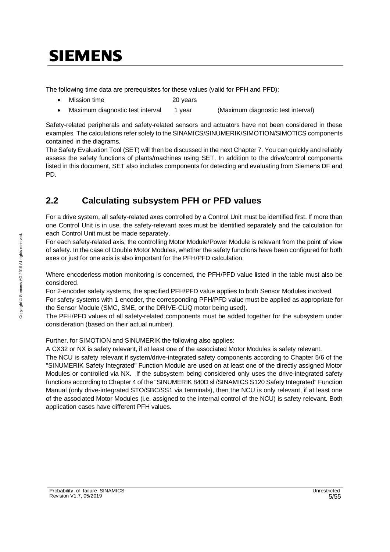The following time data are prerequisites for these values (valid for PFH and PFD):

- Mission time 20 years
- · Maximum diagnostic test interval 1 year (Maximum diagnostic test interval)

Safety-related peripherals and safety-related sensors and actuators have not been considered in these examples. The calculations refer solely to the SINAMICS/SINUMERIK/SIMOTION/SIMOTICS components contained in the diagrams.

The Safety Evaluation Tool (SET) will then be discussed in the next Chapter 7. You can quickly and reliably assess the safety functions of plants/machines using SET. In addition to the drive/control components listed in this document, SET also includes components for detecting and evaluating from Siemens DF and PD.

### **2.2 Calculating subsystem PFH or PFD values**

For a drive system, all safety-related axes controlled by a Control Unit must be identified first. If more than one Control Unit is in use, the safety-relevant axes must be identified separately and the calculation for each Control Unit must be made separately.

For each safety-related axis, the controlling Motor Module/Power Module is relevant from the point of view of safety. In the case of Double Motor Modules, whether the safety functions have been configured for both axes or just for one axis is also important for the PFH/PFD calculation.

Where encoderless motion monitoring is concerned, the PFH/PFD value listed in the table must also be considered.

For 2-encoder safety systems, the specified PFH/PFD value applies to both Sensor Modules involved.

For safety systems with 1 encoder, the corresponding PFH/PFD value must be applied as appropriate for the Sensor Module (SMC, SME, or the DRIVE-CLiQ motor being used).

The PFH/PFD values of all safety-related components must be added together for the subsystem under consideration (based on their actual number).

Further, for SIMOTION and SINUMERIK the following also applies:

A CX32 or NX is safety relevant, if at least one of the associated Motor Modules is safety relevant.

The NCU is safety relevant if system/drive-integrated safety components according to Chapter 5/6 of the "SINUMERIK Safety Integrated" Function Module are used on at least one of the directly assigned Motor Modules or controlled via NX. If the subsystem being considered only uses the drive-integrated safety functions according to Chapter 4 of the "SINUMERIK 840D sl /SINAMICS S120 Safety Integrated" Function Manual (only drive-integrated STO/SBC/SS1 via terminals), then the NCU is only relevant, if at least one of the associated Motor Modules (i.e. assigned to the internal control of the NCU) is safety relevant. Both application cases have different PFH values.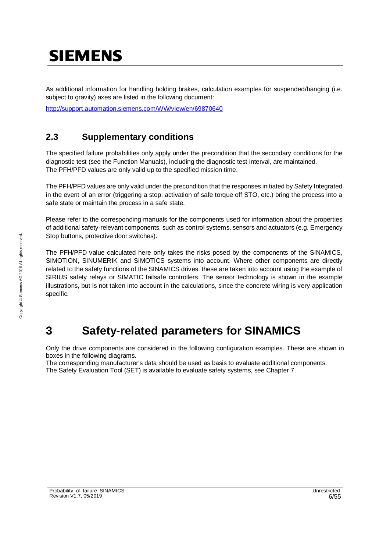As additional information for handling holding brakes, calculation examples for suspended/hanging (i.e. subject to gravity) axes are listed in the following document:

http://support.automation.siemens.com/WW/view/en/69870640

### **2.3 Supplementary conditions**

The specified failure probabilities only apply under the precondition that the secondary conditions for the diagnostic test (see the Function Manuals), including the diagnostic test interval, are maintained. The PFH/PFD values are only valid up to the specified mission time.

The PFH/PFD values are only valid under the precondition that the responses initiated by Safety Integrated in the event of an error (triggering a stop, activation of safe torque off STO, etc.) bring the process into a safe state or maintain the process in a safe state.

Please refer to the corresponding manuals for the components used for information about the properties of additional safety-relevant components, such as control systems, sensors and actuators (e.g. Emergency Stop buttons, protective door switches).

The PFH/PFD value calculated here only takes the risks posed by the components of the SINAMICS, SIMOTION, SINUMERIK and SIMOTICS systems into account. Where other components are directly related to the safety functions of the SINAMICS drives, these are taken into account using the example of SIRIUS safety relays or SIMATIC failsafe controllers. The sensor technology is shown in the example illustrations, but is not taken into account in the calculations, since the concrete wiring is very application specific.

### **3 Safety-related parameters for SINAMICS**

Only the drive components are considered in the following configuration examples. These are shown in boxes in the following diagrams.

The corresponding manufacturer's data should be used as basis to evaluate additional components. The Safety Evaluation Tool (SET) is available to evaluate safety systems, see Chapter 7.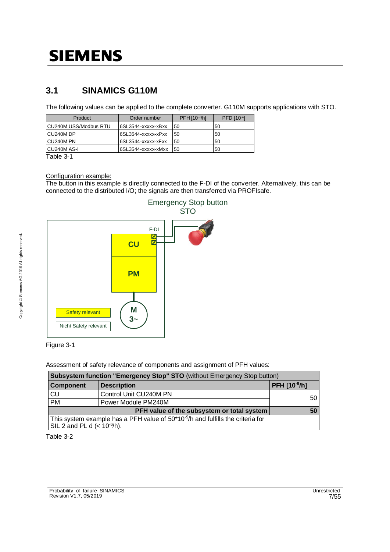### **3.1 SINAMICS G110M**

The following values can be applied to the complete converter. G110M supports applications with STO.

| Product                | Order number        | $PFH[10-9/h]$ | PFD [10-4] |
|------------------------|---------------------|---------------|------------|
| ICU240M USS/Modbus RTU | I6SL3544-xxxxx-xBxx | 50            | 50         |
| CU240M DP              | 6SL3544-xxxxx-xPxx  | 50            | 50         |
| CU240M PN              | I6SL3544-xxxxx-xFxx | 50            | 50         |
| CU240M AS-i            | 6SL3544-xxxxx-xMxx  | 50            | 50         |

Table 3-1

Configuration example:

The button in this example is directly connected to the F-DI of the converter. Alternatively, this can be connected to the distributed I/O; the signals are then transferred via PROFIsafe.



#### Figure 3-1

Assessment of safety relevance of components and assignment of PFH values:

| Subsystem function "Emergency Stop" STO (without Emergency Stop button)                     |                                            |              |  |
|---------------------------------------------------------------------------------------------|--------------------------------------------|--------------|--|
| <b>Component</b>                                                                            | <b>Description</b>                         | PFH [10-9/h] |  |
| CU                                                                                          | Control Unit CU240M PN                     | 50           |  |
| PM                                                                                          | Power Module PM240M                        |              |  |
|                                                                                             | PFH value of the subsystem or total system | 50           |  |
| This system example has a PFH value of 50*10 <sup>-9</sup> /h and fulfills the criteria for |                                            |              |  |
| SIL 2 and PL d $(< 10^{-6}/h$ ).                                                            |                                            |              |  |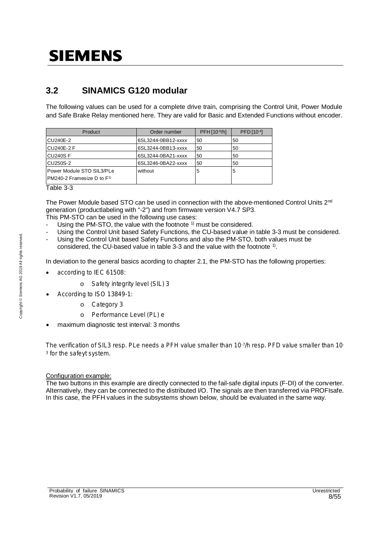### **3.2 SINAMICS G120 modular**

The following values can be used for a complete drive train, comprising the Control Unit, Power Module and Safe Brake Relay mentioned here. They are valid for Basic and Extended Functions without encoder.

| Product                                                             | Order number       | PFH [10-9/h] | PFD [10-4] |
|---------------------------------------------------------------------|--------------------|--------------|------------|
| CU240E-2                                                            | 6SL3244-0BB12-xxxx | 50           | 50         |
| <b>CU240E-2 F</b>                                                   | 6SL3244-0BB13-xxxx | 50           | 50         |
| CU240SF                                                             | 6SL3244-0BA21-xxxx | 50           | 50         |
| <b>CU250S-2</b>                                                     | 6SL3246-0BA22-xxxx | 50           | 50         |
| Power Module STO SIL3/PLe<br>PM240-2 Framesize D to F <sup>1)</sup> | without            | 5            | 5          |

Table 3-3

The Power Module based STO can be used in connection with the above-mentioned Control Units  $2<sup>nd</sup>$ generation (productlabeling with "-2") and from firmware version V4.7 SP3.

This PM-STO can be used in the following use cases:

- Using the PM-STO, the value with the footnote <sup>1)</sup> must be considered.
- Using the Control Unit based Safety Functions, the CU-based value in table 3-3 must be considered.
- Using the Control Unit based Safety Functions and also the PM-STO, both values must be considered, the CU-based value in table 3-3 and the value with the footnote  $^{1}$ .

In deviation to the general basics acording to chapter 2.1, the PM-STO has the following properties:

- according to IEC 61508:
	- o Safety integrity level (SIL) 3
- · According to ISO 13849-1:
	- o Category 3
	- o Performance Level (PL) e
- maximum diagnostic test interval: 3 months

The verification of SIL3 resp. PLe needs a PFH value smaller than 10-7/h resp. PFD value smaller than 10-<sup>3</sup> for the safeyt system.

#### Configuration example:

The two buttons in this example are directly connected to the fail-safe digital inputs (F-DI) of the converter. Alternatively, they can be connected to the distributed I/O. The signals are then transferred via PROFIsafe. In this case, the PFH values in the subsystems shown below, should be evaluated in the same way.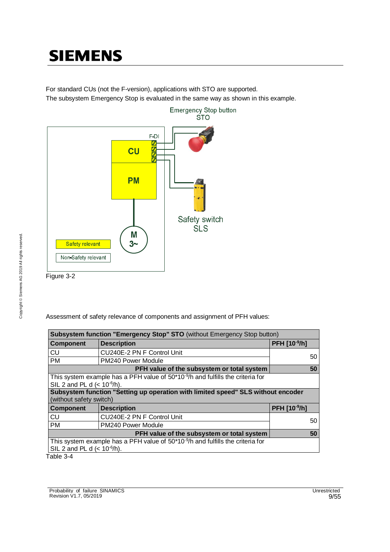For standard CUs (not the F-version), applications with STO are supported. The subsystem Emergency Stop is evaluated in the same way as shown in this example.



Assessment of safety relevance of components and assignment of PFH values:

| Subsystem function "Emergency Stop" STO (without Emergency Stop button)                                              |                                                                                                                                 |              |  |  |
|----------------------------------------------------------------------------------------------------------------------|---------------------------------------------------------------------------------------------------------------------------------|--------------|--|--|
| <b>Component</b>                                                                                                     | <b>Description</b>                                                                                                              | PFH [10-9/h] |  |  |
| CU                                                                                                                   | CU240E-2 PN F Control Unit                                                                                                      | 50           |  |  |
| <b>PM</b>                                                                                                            | PM240 Power Module                                                                                                              |              |  |  |
|                                                                                                                      | PFH value of the subsystem or total system                                                                                      | 50           |  |  |
|                                                                                                                      | This system example has a PFH value of 50*10 <sup>-9</sup> /h and fulfills the criteria for<br>SIL 2 and PL d $(< 10^{-6/h})$ . |              |  |  |
|                                                                                                                      | Subsystem function "Setting up operation with limited speed" SLS without encoder                                                |              |  |  |
| (without safety switch)                                                                                              |                                                                                                                                 |              |  |  |
| <b>Component</b>                                                                                                     | <b>Description</b>                                                                                                              | PFH [10-9/h] |  |  |
| CU                                                                                                                   | CU240E-2 PN F Control Unit                                                                                                      | 50           |  |  |
| <b>PM</b>                                                                                                            | PM240 Power Module                                                                                                              |              |  |  |
|                                                                                                                      | PFH value of the subsystem or total system                                                                                      | 50           |  |  |
| This system example has a PFH value of $50*10*9/h$ and fulfills the criteria for<br>SIL 2 and PL d $(< 10^{-6}/h$ ). |                                                                                                                                 |              |  |  |
| Table 3-4                                                                                                            |                                                                                                                                 |              |  |  |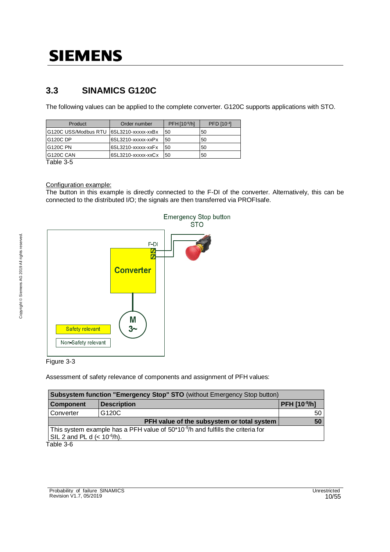### **3.3 SINAMICS G120C**

The following values can be applied to the complete converter. G120C supports applications with STO.

| Product                                   | Order number       | PFH [10-9/h] | PFD [10-4] |
|-------------------------------------------|--------------------|--------------|------------|
| IG120C USS/Modbus RTU_I6SL3210-xxxxx-xxBx |                    | 50           | 50         |
| G120C DP                                  | 6SL3210-xxxxx-xxPx | 50           | 50         |
| G120C PN                                  | 6SL3210-xxxxx-xxFx | 50           | 50         |
| G120C CAN                                 | 6SL3210-xxxxx-xxCx | 50           | 50         |
| — <u>II A —</u>                           |                    |              |            |

Table 3-5

#### Configuration example:

The button in this example is directly connected to the F-DI of the converter. Alternatively, this can be connected to the distributed I/O; the signals are then transferred via PROFIsafe.



#### Figure 3-3

Assessment of safety relevance of components and assignment of PFH values:

| Subsystem function "Emergency Stop" STO (without Emergency Stop button)                     |              |    |  |  |
|---------------------------------------------------------------------------------------------|--------------|----|--|--|
| <b>Component</b>                                                                            | PFH [10-9/h] |    |  |  |
| Converter                                                                                   | G120C        | 50 |  |  |
|                                                                                             | 50           |    |  |  |
| This system example has a PFH value of 50*10 <sup>-9</sup> /h and fulfills the criteria for |              |    |  |  |
| SIL 2 and PL d $(< 10^{-6}/h$ ).                                                            |              |    |  |  |
| $Table 3-6$                                                                                 |              |    |  |  |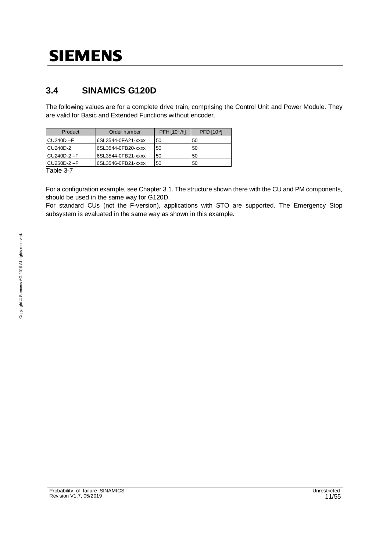### **3.4 SINAMICS G120D**

The following values are for a complete drive train, comprising the Control Unit and Power Module. They are valid for Basic and Extended Functions without encoder.

| Product      | Order number       | PFH [10-9/h] | PFD [10-4] |
|--------------|--------------------|--------------|------------|
| $CU240D - F$ | 6SL3544-0FA21-xxxx | 50           | 50         |
| CU240D-2     | 6SL3544-0FB20-xxxx | 50           | 50         |
| $CU240D-2-F$ | 6SL3544-0FB21-xxxx | 50           | 50         |
| $CU250D-2-F$ | 6SL3546-0FB21-xxxx | 50           | 50         |

Table 3-7

For a configuration example, see Chapter 3.1. The structure shown there with the CU and PM components, should be used in the same way for G120D.

For standard CUs (not the F-version), applications with STO are supported. The Emergency Stop subsystem is evaluated in the same way as shown in this example.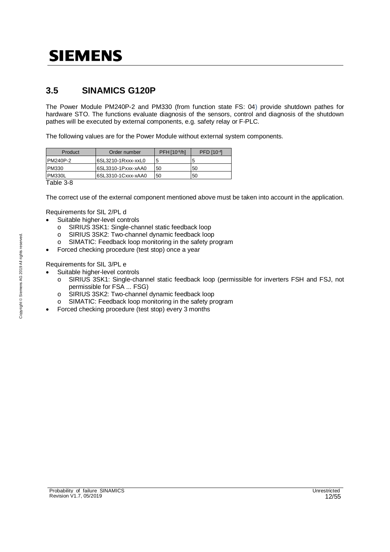### **3.5 SINAMICS G120P**

The Power Module PM240P-2 and PM330 (from function state FS: 04) provide shutdown pathes for hardware STO. The functions evaluate diagnosis of the sensors, control and diagnosis of the shutdown pathes will be executed by external components, e.g. safety relay or F-PLC.

The following values are for the Power Module without external system components.

| Product       | Order number       | PFH[10 <sup>9</sup> /h] | PFD [10-4] |
|---------------|--------------------|-------------------------|------------|
| PM240P-2      | 6SL3210-1Rxxx-xxL0 | 5                       |            |
| <b>PM330</b>  | 6SL3310-1Pxxx-xAA0 | 50                      | 50         |
| <b>PM330L</b> | 6SL3310-1Cxxx-xAA0 | 50                      | 50         |
| Table 3-8     |                    |                         |            |

The correct use of the external component mentioned above must be taken into account in the application.

Requirements for SIL 2/PL d

- · Suitable higher-level controls
	- o SIRIUS 3SK1: Single-channel static feedback loop
	- o SIRIUS 3SK2: Two-channel dynamic feedback loop
	- o SIMATIC: Feedback loop monitoring in the safety program
	- Forced checking procedure (test stop) once a year

Requirements for SIL 3/PL e

- Suitable higher-level controls
	- o SIRIUS 3SK1: Single-channel static feedback loop (permissible for inverters FSH and FSJ, not permissible for FSA ... FSG)
	- o SIRIUS 3SK2: Two-channel dynamic feedback loop
	- o SIMATIC: Feedback loop monitoring in the safety program
- Forced checking procedure (test stop) every 3 months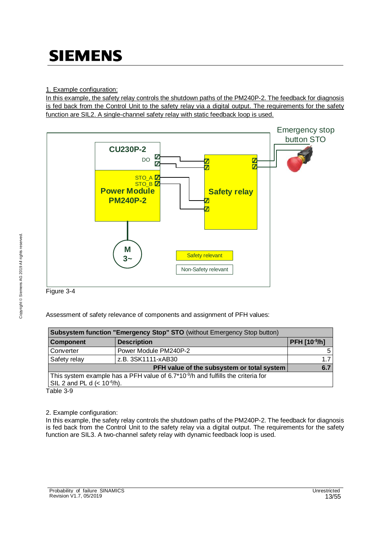In this example, the safety relay controls the shutdown paths of the PM240P-2. The feedback for diagnosis is fed back from the Control Unit to the safety relay via a digital output. The requirements for the safety function are SIL2. A single-channel safety relay with static feedback loop is used.





Assessment of safety relevance of components and assignment of PFH values:

| Subsystem function "Emergency Stop" STO (without Emergency Stop button)                    |                                            |                     |  |  |
|--------------------------------------------------------------------------------------------|--------------------------------------------|---------------------|--|--|
| <b>Component</b>                                                                           | <b>Description</b>                         | <b>PFH [10-9/h]</b> |  |  |
| Converter                                                                                  | Power Module PM240P-2                      | 51                  |  |  |
| Safety relay                                                                               | z.B. 3SK1111-xAB30                         | 17                  |  |  |
|                                                                                            | PFH value of the subsystem or total system | 6.7                 |  |  |
| This system example has a PFH value of 6.7*10 $\frac{9}{10}$ and fulfills the criteria for |                                            |                     |  |  |
| SIL 2 and PL d $(< 10^{-6}/h$ ).                                                           |                                            |                     |  |  |

Table 3-9

2. Example configuration:

In this example, the safety relay controls the shutdown paths of the PM240P-2. The feedback for diagnosis is fed back from the Control Unit to the safety relay via a digital output. The requirements for the safety function are SIL3. A two-channel safety relay with dynamic feedback loop is used.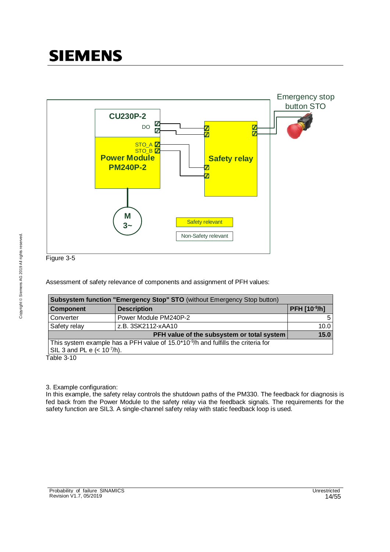

Figure 3-5

Assessment of safety relevance of components and assignment of PFH values:

| Subsystem function "Emergency Stop" STO (without Emergency Stop button)                       |                   |  |  |  |
|-----------------------------------------------------------------------------------------------|-------------------|--|--|--|
| <b>Description</b>                                                                            | PFH [10-9/h]      |  |  |  |
| Power Module PM240P-2                                                                         |                   |  |  |  |
| z.B. 3SK2112-xAA10                                                                            | 10.0              |  |  |  |
| PFH value of the subsystem or total system                                                    | $\overline{15.0}$ |  |  |  |
| This system example has a PFH value of 15.0*10 <sup>-9</sup> /h and fulfills the criteria for |                   |  |  |  |
| SIL 3 and PL e $(< 10^{-7/h})$ .                                                              |                   |  |  |  |
|                                                                                               |                   |  |  |  |

Table 3-10

3. Example configuration:

In this example, the safety relay controls the shutdown paths of the PM330. The feedback for diagnosis is fed back from the Power Module to the safety relay via the feedback signals. The requirements for the safety function are SIL3. A single-channel safety relay with static feedback loop is used.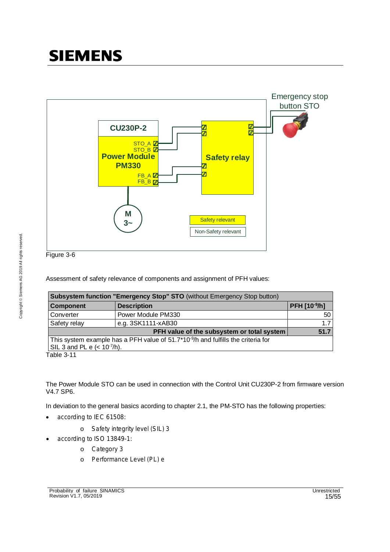

Figure 3-6

Assessment of safety relevance of components and assignment of PFH values:

| Subsystem function "Emergency Stop" STO (without Emergency Stop button)                                                                                           |                    |              |  |  |
|-------------------------------------------------------------------------------------------------------------------------------------------------------------------|--------------------|--------------|--|--|
| <b>Component</b>                                                                                                                                                  | <b>Description</b> | PFH [10-9/h] |  |  |
| Converter                                                                                                                                                         | Power Module PM330 | 50           |  |  |
| Safety relay                                                                                                                                                      | e.g. 3SK1111-xAB30 | 1.7          |  |  |
|                                                                                                                                                                   | 51.7               |              |  |  |
| PFH value of the subsystem or total system<br>This system example has a PFH value of $51.7*10-9/h$ and fulfills the criteria for<br>SIL 3 and PL e $(< 10-7/h)$ . |                    |              |  |  |

Table 3-11

The Power Module STO can be used in connection with the Control Unit CU230P-2 from firmware version V4.7 SP6.

In deviation to the general basics acording to chapter 2.1, the PM-STO has the following properties:

- · according to IEC 61508:
	- o Safety integrity level (SIL) 3
- · according to ISO 13849-1:
	- o Category 3
	- o Performance Level (PL) e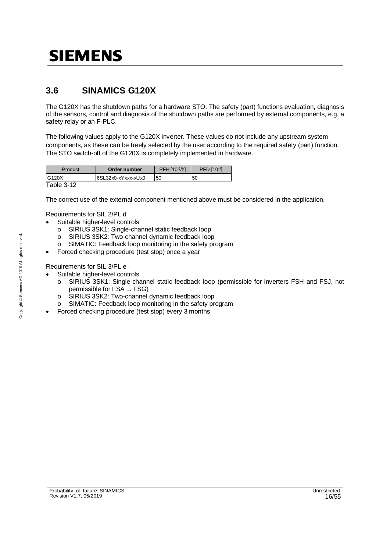### **3.6 SINAMICS G120X**

The G120X has the shutdown paths for a hardware STO. The safety (part) functions evaluation, diagnosis of the sensors, control and diagnosis of the shutdown paths are performed by external components, e.g. a safety relay or an F-PLC.

The following values apply to the G120X inverter. These values do not include any upstream system components, as these can be freely selected by the user according to the required safety (part) function. The STO switch-off of the G120X is completely implemented in hardware.

| Product    | Order number       | PFH[10 <sup>9</sup> /h] | PFD [10-4] |
|------------|--------------------|-------------------------|------------|
| G120X      | 6SL32x0-xYxxx-xUx0 | 50                      | 50         |
| Table 3-12 |                    |                         |            |

The correct use of the external component mentioned above must be considered in the application.

Requirements for SIL 2/PL d

- Suitable higher-level controls
	- o SIRIUS 3SK1: Single-channel static feedback loop
	- o SIRIUS 3SK2: Two-channel dynamic feedback loop
	- o SIMATIC: Feedback loop monitoring in the safety program
- Forced checking procedure (test stop) once a year

Requirements for SIL 3/PL e

- Suitable higher-level controls
	- o SIRIUS 3SK1: Single-channel static feedback loop (permissible for inverters FSH and FSJ, not permissible for FSA ... FSG)
	- o SIRIUS 3SK2: Two-channel dynamic feedback loop
	- o SIMATIC: Feedback loop monitoring in the safety program
- Forced checking procedure (test stop) every 3 months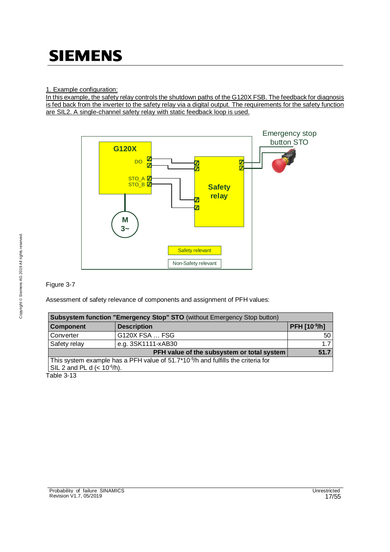In this example, the safety relay controls the shutdown paths of the G120X FSB. The feedback for diagnosis is fed back from the inverter to the safety relay via a digital output. The requirements for the safety function are SIL2. A single-channel safety relay with static feedback loop is used.



### Figure 3-7

Assessment of safety relevance of components and assignment of PFH values:

| Subsystem function "Emergency Stop" STO (without Emergency Stop button) |                                                                                               |              |  |  |
|-------------------------------------------------------------------------|-----------------------------------------------------------------------------------------------|--------------|--|--|
| <b>Component</b>                                                        | <b>Description</b>                                                                            | PFH [10-9/h] |  |  |
| Converter                                                               | G120X FSA  FSG                                                                                | 50           |  |  |
| Safety relay                                                            | e.g. 3SK1111-xAB30                                                                            | 1.7          |  |  |
|                                                                         | PFH value of the subsystem or total system                                                    | 51.7         |  |  |
|                                                                         | This system example has a PFH value of 51.7*10 <sup>-9</sup> /h and fulfills the criteria for |              |  |  |
| $\vert$ SIL 2 and PL d (< 10 <sup>-6</sup> /h).                         |                                                                                               |              |  |  |
| $T = L_0 \cap A_1$                                                      |                                                                                               |              |  |  |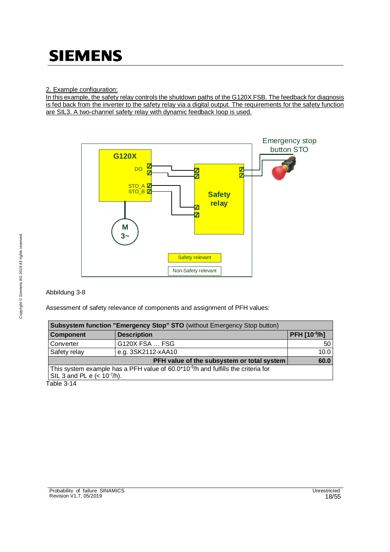In this example, the safety relay controls the shutdown paths of the G120X FSB. The feedback for diagnosis is fed back from the inverter to the safety relay via a digital output. The requirements for the safety function are SIL3. A two-channel safety relay with dynamic feedback loop is used.



#### Abbildung 3-8

Assessment of safety relevance of components and assignment of PFH values:

| Subsystem function "Emergency Stop" STO (without Emergency Stop button)                       |                                            |                |  |  |  |
|-----------------------------------------------------------------------------------------------|--------------------------------------------|----------------|--|--|--|
| <b>Component</b>                                                                              | <b>Description</b>                         | $PFH [10-9/h]$ |  |  |  |
| Converter                                                                                     | G120X FSA  FSG                             | -50            |  |  |  |
| Safety relay                                                                                  | e.g. 3SK2112-xAA10                         | 10.0           |  |  |  |
|                                                                                               | PFH value of the subsystem or total system | 60.0           |  |  |  |
| This system example has a PFH value of 60.0*10 <sup>-9</sup> /h and fulfills the criteria for |                                            |                |  |  |  |
| $\vert$ SIL 3 and PL e (< 10 <sup>-7</sup> /h).                                               |                                            |                |  |  |  |
| Table 2.44                                                                                    |                                            |                |  |  |  |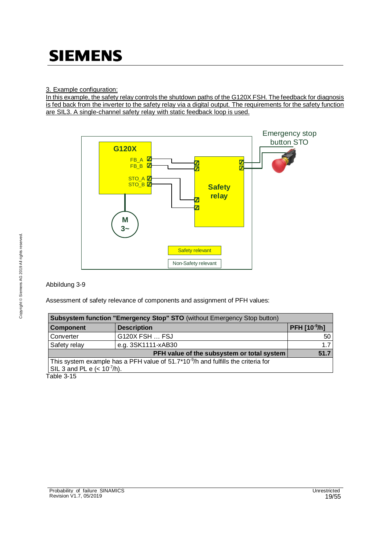In this example, the safety relay controls the shutdown paths of the G120X FSH. The feedback for diagnosis is fed back from the inverter to the safety relay via a digital output. The requirements for the safety function are SIL3. A single-channel safety relay with static feedback loop is used.



#### Abbildung 3-9

Assessment of safety relevance of components and assignment of PFH values:

| Subsystem function "Emergency Stop" STO (without Emergency Stop button) |                                                                                               |              |  |  |
|-------------------------------------------------------------------------|-----------------------------------------------------------------------------------------------|--------------|--|--|
| <b>Component</b>                                                        | <b>Description</b>                                                                            | PFH [10-9/h] |  |  |
| Converter                                                               | G120X FSH  FSJ                                                                                | 50           |  |  |
| Safety relay                                                            | e.g. 3SK1111-xAB30                                                                            | 1.7          |  |  |
|                                                                         | PFH value of the subsystem or total system                                                    | 51.7         |  |  |
|                                                                         | This system example has a PFH value of 51.7*10 <sup>-9</sup> /h and fulfills the criteria for |              |  |  |
| $\vert$ SIL 3 and PL e (< 10 <sup>-7</sup> /h).                         |                                                                                               |              |  |  |
| しっしん つづら                                                                |                                                                                               |              |  |  |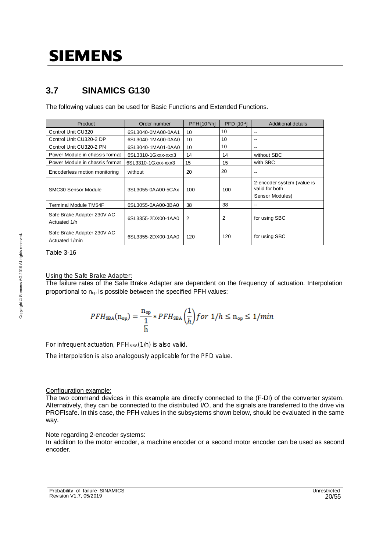### **3.7 SINAMICS G130**

The following values can be used for Basic Functions and Extended Functions.

| Product                                      | Order number       | PFH [10-9/h]   | PFD [10-4] | <b>Additional details</b>                                       |
|----------------------------------------------|--------------------|----------------|------------|-----------------------------------------------------------------|
| Control Unit CU320                           | 6SL3040-0MA00-0AA1 | 10             | 10         | --                                                              |
| Control Unit CU320-2 DP                      | 6SL3040-1MA00-0AA0 | 10             | 10         | --                                                              |
| Control Unit CU320-2 PN                      | 6SL3040-1MA01-0AA0 | 10             | 10         | --                                                              |
| Power Module in chassis format               | 6SL3310-1Gxxx-xxx3 | 14             | 14         | without SBC                                                     |
| Power Module in chassis format               | 6SL3310-1Gxxx-xxx3 | 15             | 15         | with SBC                                                        |
| Encoderless motion monitoring                | without            | 20             | 20         | --                                                              |
| SMC30 Sensor Module                          | 3SL3055-0AA00-5CAx | 100            | 100        | 2-encoder system (value is<br>valid for both<br>Sensor Modules) |
| Terminal Module TM54F                        | 6SL3055-0AA00-3BA0 | 38             | 38         | --                                                              |
| Safe Brake Adapter 230V AC<br>Actuated 1/h   | 6SL3355-2DX00-1AA0 | $\overline{2}$ | 2          | for using SBC                                                   |
| Safe Brake Adapter 230V AC<br>Actuated 1/min | 6SL3355-2DX00-1AA0 | 120            | 120        | for using SBC                                                   |

Table 3-16

#### Using the Safe Brake Adapter:

The failure rates of the Safe Brake Adapter are dependent on the frequency of actuation. Interpolation proportional to  $n_{op}$  is possible between the specified PFH values:

$$
PFH_{\text{SBA}}(n_{\text{op}}) = \frac{n_{\text{op}}}{\frac{1}{h}} * PFH_{\text{SBA}}\left(\frac{1}{h}\right) for \ 1/h \le n_{\text{op}} \le 1/min
$$

For infrequent actuation, PFH<sub>SBA</sub>(1/h) is also valid.

The interpolation is also analogously applicable for the PFD value.

#### Configuration example:

The two command devices in this example are directly connected to the (F-DI) of the converter system. Alternatively, they can be connected to the distributed I/O, and the signals are transferred to the drive via PROFIsafe. In this case, the PFH values in the subsystems shown below, should be evaluated in the same way.

#### Note regarding 2-encoder systems:

In addition to the motor encoder, a machine encoder or a second motor encoder can be used as second encoder.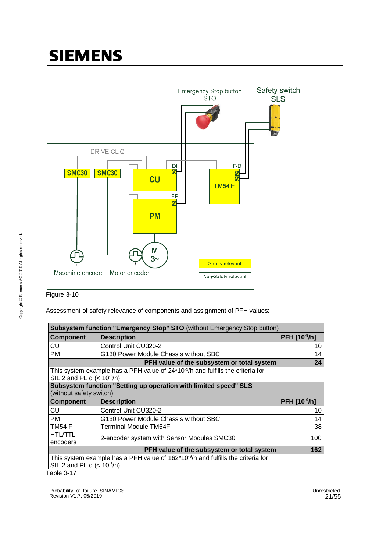



Assessment of safety relevance of components and assignment of PFH values:

| Subsystem function "Emergency Stop" STO (without Emergency Stop button) |                                                                                             |              |  |
|-------------------------------------------------------------------------|---------------------------------------------------------------------------------------------|--------------|--|
| Component                                                               | <b>Description</b>                                                                          | PFH [10-9/h] |  |
| CU                                                                      | Control Unit CU320-2                                                                        | 10           |  |
| PM                                                                      | G130 Power Module Chassis without SBC                                                       | 14           |  |
|                                                                         | PFH value of the subsystem or total system                                                  | 24           |  |
| SIL 2 and PL d $(< 10^{-6}/h)$ .                                        | This system example has a PFH value of 24*10 <sup>-9</sup> /h and fulfills the criteria for |              |  |
| (without safety switch)                                                 | Subsystem function "Setting up operation with limited speed" SLS                            |              |  |
| <b>Component</b>                                                        | <b>Description</b>                                                                          | PFH [10-9/h] |  |
| CU                                                                      | Control Unit CU320-2                                                                        | 10           |  |
| <b>PM</b>                                                               | G130 Power Module Chassis without SBC                                                       | 14           |  |
| <b>TM54 F</b>                                                           | <b>Terminal Module TM54F</b>                                                                | 38           |  |
| <b>HTL/TTL</b><br>encoders                                              | 2-encoder system with Sensor Modules SMC30                                                  | 100          |  |
|                                                                         | PFH value of the subsystem or total system                                                  | 162          |  |
| SIL 2 and PL d $(< 10^{-6}/h)$ .                                        | This system example has a PFH value of $162*10*9/h$ and fulfills the criteria for           |              |  |
| Table 3-17                                                              |                                                                                             |              |  |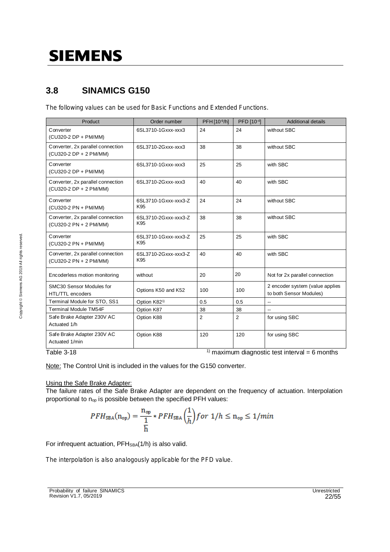### **3.8 SINAMICS G150**

The following values can be used for Basic Functions and Extended Functions.

| Product                                                     | Order number                | PFH [10-9/h]   | PFD [10-4]     | <b>Additional details</b>                                  |
|-------------------------------------------------------------|-----------------------------|----------------|----------------|------------------------------------------------------------|
| Converter<br>(CU320-2 DP + PM/MM)                           | 6SL3710-1Gxxx-xxx3          | 24             | 24             | without SBC                                                |
| Converter, 2x parallel connection<br>(CU320-2 DP + 2 PM/MM) | 6SL3710-2Gxxx-xxx3          | 38             | 38             | without SBC                                                |
| Converter<br>(CU320-2 DP + PM/MM)                           | 6SL3710-1Gxxx-xxx3          | 25             | 25             | with SBC                                                   |
| Converter, 2x parallel connection<br>(CU320-2 DP + 2 PM/MM) | 6SL3710-2Gxxx-xxx3          | 40             | 40             | with SBC                                                   |
| Converter<br>(CU320-2 PN + PM/MM)                           | 6SL3710-1Gxxx-xxx3-Z<br>K95 | 24             | 24             | without SBC                                                |
| Converter, 2x parallel connection<br>(CU320-2 PN + 2 PM/MM) | 6SL3710-2Gxxx-xxx3-Z<br>K95 | 38             | 38             | without SBC                                                |
| Converter<br>(CU320-2 PN + PM/MM)                           | 6SL3710-1Gxxx-xxx3-Z<br>K95 | 25             | 25             | with SBC                                                   |
| Converter, 2x parallel connection<br>(CU320-2 PN + 2 PM/MM) | 6SL3710-2Gxxx-xxx3-Z<br>K95 | 40             | 40             | with SBC                                                   |
| Encoderless motion monitoring                               | without                     | 20             | 20             | Not for 2x parallel connection                             |
| SMC30 Sensor Modules for<br>HTL/TTL encoders                | Options K50 and K52         | 100            | 100            | 2 encoder system (value applies<br>to both Sensor Modules) |
| Terminal Module for STO, SS1                                | Option K82 <sup>1)</sup>    | 0.5            | 0.5            |                                                            |
| <b>Terminal Module TM54F</b>                                | Option K87                  | 38             | 38             |                                                            |
| Safe Brake Adapter 230V AC<br>Actuated 1/h                  | Option K88                  | $\overline{2}$ | $\overline{2}$ | for using SBC                                              |
| Safe Brake Adapter 230V AC<br>Actuated 1/min                | Option K88                  | 120            | 120            | for using SBC                                              |

Table 3-18  $\frac{1}{1}$  maximum diagnostic test interval = 6 months

Note: The Control Unit is included in the values for the G150 converter.

#### Using the Safe Brake Adapter:

The failure rates of the Safe Brake Adapter are dependent on the frequency of actuation. Interpolation proportional to n<sub>op</sub> is possible between the specified PFH values:

$$
PFH_{\text{SBA}}(n_{\text{op}}) = \frac{n_{\text{op}}}{\frac{1}{h}} * PFH_{\text{SBA}}\left(\frac{1}{h}\right) \text{ for } 1/h \le n_{\text{op}} \le 1/min
$$

For infrequent actuation, PFH<sub>SBA</sub>(1/h) is also valid.

The interpolation is also analogously applicable for the PFD value.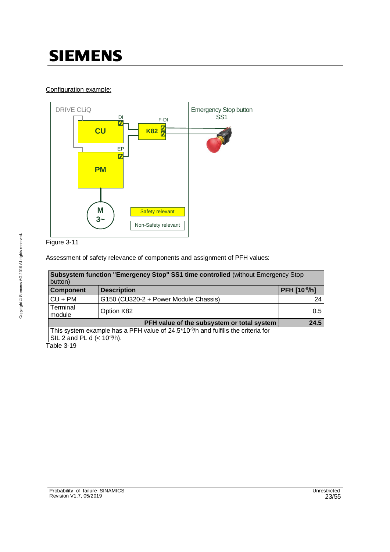### Configuration example:



Figure 3-11

Assessment of safety relevance of components and assignment of PFH values:

| button)                          | Subsystem function "Emergency Stop" SS1 time controlled (without Emergency Stop               |              |
|----------------------------------|-----------------------------------------------------------------------------------------------|--------------|
| <b>Component</b>                 | <b>Description</b>                                                                            | PFH [10-9/h] |
| $CU + PM$                        | G150 (CU320-2 + Power Module Chassis)                                                         | 24           |
| Terminal<br>module               | Option K82                                                                                    | 0.5          |
|                                  | PFH value of the subsystem or total system                                                    | 24.5         |
|                                  | This system example has a PFH value of 24.5*10 <sup>-9</sup> /h and fulfills the criteria for |              |
| SIL 2 and PL d $(< 10^{-6}/h$ ). |                                                                                               |              |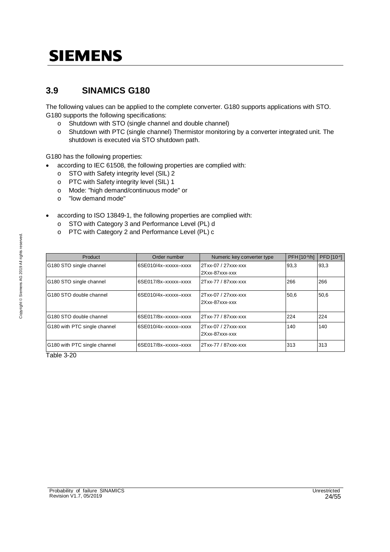### **3.9 SINAMICS G180**

The following values can be applied to the complete converter. G180 supports applications with STO. G180 supports the following specifications:

- o Shutdown with STO (single channel and double channel)
- o Shutdown with PTC (single channel) Thermistor monitoring by a converter integrated unit. The shutdown is executed via STO shutdown path.

G180 has the following properties:

- according to IEC 61508, the following properties are complied with:
	- o STO with Safety integrity level (SIL) 2
	- o PTC with Safety integrity level (SIL) 1
	- o Mode: "high demand/continuous mode" or
	- o "low demand mode"
- · according to ISO 13849-1, the following properties are complied with:
	- o STO with Category 3 and Performance Level (PL) d
	- o PTC with Category 2 and Performance Level (PL) c

| Product                      | Order number         | Numeric key converter type              | PFH110-9/hl | PFD [10-4] |
|------------------------------|----------------------|-----------------------------------------|-------------|------------|
| G180 STO single channel      | 6SE010/4x-xxxxx-xxxx | 2Txx-07 / 27xxx-xxx<br>$2Xxx-87xxx-xxx$ | 93.3        | 93,3       |
| G180 STO single channel      | 6SE017/8x-xxxxx-xxxx | 2Txx-77 / 87xxx-xxx                     | 266         | 266        |
| G180 STO double channel      | 6SE010/4x-xxxxx-xxxx | 2Txx-07 / 27xxx-xxx<br>2Xxx-87xxx-xxx   | 50,6        | 50,6       |
| G180 STO double channel      | 6SE017/8x-xxxxx-xxxx | 2Txx-77 / 87xxx-xxx                     | 224         | 224        |
| G180 with PTC single channel | 6SE010/4x-xxxxx-xxxx | 2Txx-07 / 27xxx-xxx<br>2Xxx-87xxx-xxx   | 140         | 140        |
| G180 with PTC single channel | 6SE017/8x-xxxxx-xxxx | 2Txx-77 / 87xxx-xxx                     | 313         | 313        |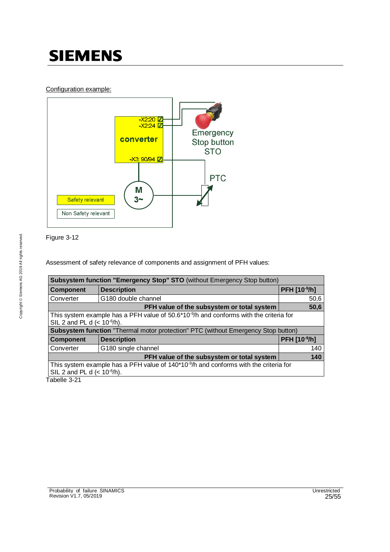### Configuration example:





Assessment of safety relevance of components and assignment of PFH values:

|                                                                                          | Subsystem function "Emergency Stop" STO (without Emergency Stop button)                                                     |              |  |  |  |
|------------------------------------------------------------------------------------------|-----------------------------------------------------------------------------------------------------------------------------|--------------|--|--|--|
| <b>Component</b>                                                                         | <b>Description</b>                                                                                                          | PFH [10-9/h] |  |  |  |
| Converter                                                                                | G180 double channel                                                                                                         | 50,6         |  |  |  |
|                                                                                          | PFH value of the subsystem or total system                                                                                  | 50,6         |  |  |  |
|                                                                                          | This system example has a PFH value of $50.6*10-9/h$ and conforms with the criteria for<br>SIL 2 and PL d $(< 10^{-6/h})$ . |              |  |  |  |
| <b>Subsystem function</b> "Thermal motor protection" PTC (without Emergency Stop button) |                                                                                                                             |              |  |  |  |
| <b>Component</b>                                                                         | <b>Description</b>                                                                                                          | PFH [10-9/h] |  |  |  |
| Converter                                                                                | G180 single channel                                                                                                         | 140          |  |  |  |
|                                                                                          | PFH value of the subsystem or total system                                                                                  | 140          |  |  |  |
| SIL 2 and PL d $(< 10^{-6/h})$ .                                                         | This system example has a PFH value of $140*10*9/h$ and conforms with the criteria for                                      |              |  |  |  |
| Tabelle 3-21                                                                             |                                                                                                                             |              |  |  |  |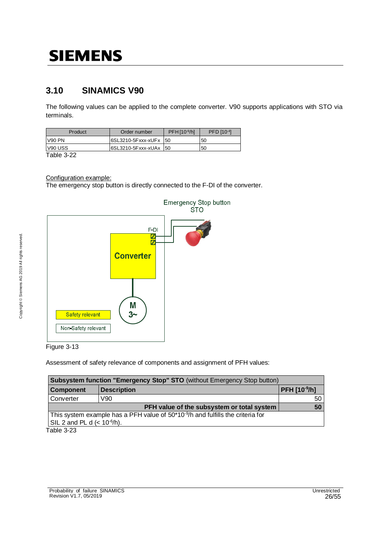### **3.10 SINAMICS V90**

The following values can be applied to the complete converter. V90 supports applications with STO via terminals.

| Product       | Order number            | $PFH$ $109/h$ | PFD [10-4] |
|---------------|-------------------------|---------------|------------|
| <b>V90 PN</b> | 6SL3210-5Fxxx-xUFx   50 |               | 50         |
| V90 USS       | 6SL3210-5Fxxx-xUAx 50   |               | 50         |
| ------        |                         |               |            |

Table 3-22

Configuration example:

The emergency stop button is directly connected to the F-DI of the converter.



**Emergency Stop button STO** 

Figure 3-13

Assessment of safety relevance of components and assignment of PFH values:

| Subsystem function "Emergency Stop" STO (without Emergency Stop button)                     |                                                   |  |  |  |
|---------------------------------------------------------------------------------------------|---------------------------------------------------|--|--|--|
| <b>Description</b>                                                                          | <b>PFH [10-9/h]</b>                               |  |  |  |
| V90                                                                                         | 50                                                |  |  |  |
|                                                                                             |                                                   |  |  |  |
| This system example has a PFH value of 50*10 <sup>-9</sup> /h and fulfills the criteria for |                                                   |  |  |  |
| $\vert$ SIL 2 and PL d (< 10 <sup>-6</sup> /h).                                             |                                                   |  |  |  |
|                                                                                             | <b>PFH value of the subsystem or total system</b> |  |  |  |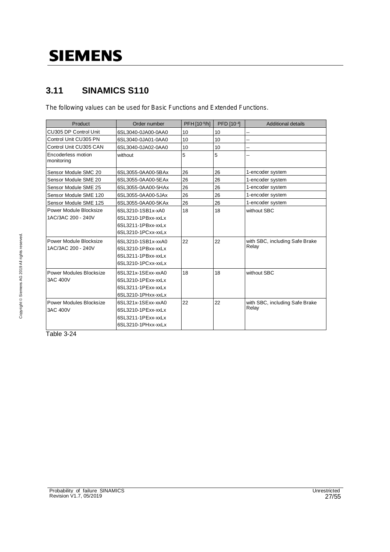### **3.11 SINAMICS S110**

The following values can be used for Basic Functions and Extended Functions.

| Product                          | Order number       | PFH [10-9/h] | PFD [10-4] | <b>Additional details</b>      |
|----------------------------------|--------------------|--------------|------------|--------------------------------|
| CU305 DP Control Unit            | 6SL3040-0JA00-0AA0 | 10           | 10         |                                |
| Control Unit CU305 PN            | 6SL3040-0JA01-0AA0 | 10           | 10         | --                             |
| Control Unit CU305 CAN           | 6SL3040-0JA02-0AA0 | 10           | 10         | --                             |
| Encoderless motion<br>monitoring | without            | 5            | 5          | --                             |
| Sensor Module SMC 20             | 6SL3055-0AA00-5BAx | 26           | 26         | 1-encoder system               |
| Sensor Module SME 20             | 6SL3055-0AA00-5EAx | 26           | 26         | 1-encoder system               |
| Sensor Module SME 25             | 6SL3055-0AA00-5HAx | 26           | 26         | 1-encoder system               |
| Sensor Module SME 120            | 6SL3055-0AA00-5JAx | 26           | 26         | 1-encoder system               |
| Sensor Module SME 125            | 6SL3055-0AA00-5KAx | 26           | 26         | 1-encoder system               |
| Power Module Blocksize           | 6SL3210-1SB1x-xA0  | 18           | 18         | without SBC                    |
| 1AC/3AC 200 - 240V               | 6SL3210-1PBxx-xxLx |              |            |                                |
|                                  | 6SL3211-1PBxx-xxLx |              |            |                                |
|                                  | 6SL3210-1PCxx-xxLx |              |            |                                |
| Power Module Blocksize           | 6SL3210-1SB1x-xxA0 | 22           | 22         | with SBC, including Safe Brake |
| 1AC/3AC 200 - 240V               | 6SL3210-1PBxx-xxLx |              |            | Relay                          |
|                                  | 6SL3211-1PBxx-xxLx |              |            |                                |
|                                  | 6SL3210-1PCxx-xxLx |              |            |                                |
| Power Modules Blocksize          | 6SL321x-1SExx-xxA0 | 18           | 18         | without SBC                    |
| 3AC 400V                         | 6SL3210-1PExx-xxLx |              |            |                                |
|                                  | 6SL3211-1PExx-xxLx |              |            |                                |
|                                  | 6SL3210-1PHxx-xxLx |              |            |                                |
| Power Modules Blocksize          | 6SL321x-1SExx-xxA0 | 22           | 22         | with SBC, including Safe Brake |
| 3AC 400V                         | 6SL3210-1PExx-xxLx |              |            | Relay                          |
|                                  | 6SL3211-1PExx-xxLx |              |            |                                |
|                                  | 6SL3210-1PHxx-xxLx |              |            |                                |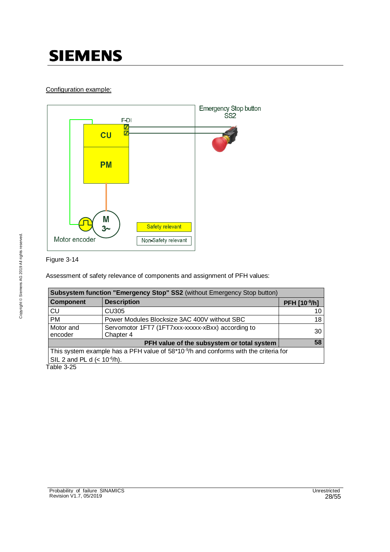### Configuration example:



### Figure 3-14

Assessment of safety relevance of components and assignment of PFH values:

|                                                                                                | Subsystem function "Emergency Stop" SS2 (without Emergency Stop button) |              |  |  |  |
|------------------------------------------------------------------------------------------------|-------------------------------------------------------------------------|--------------|--|--|--|
| Component                                                                                      | <b>Description</b>                                                      | PFH [10-9/h] |  |  |  |
| <b>CU</b>                                                                                      | <b>CU305</b>                                                            | 10           |  |  |  |
| <b>PM</b>                                                                                      | Power Modules Blocksize 3AC 400V without SBC                            | 18           |  |  |  |
| Motor and<br>encoder                                                                           | Servomotor 1FT7 (1FT7xxx-xxxxx-xBxx) according to<br>Chapter 4          | 30           |  |  |  |
| 58<br>PFH value of the subsystem or total system                                               |                                                                         |              |  |  |  |
| This system example has a PFH value of $58*10^{\degree}$ /h and conforms with the criteria for |                                                                         |              |  |  |  |
| SIL 2 and PL d $(< 10^{-6}/h$ ).                                                               |                                                                         |              |  |  |  |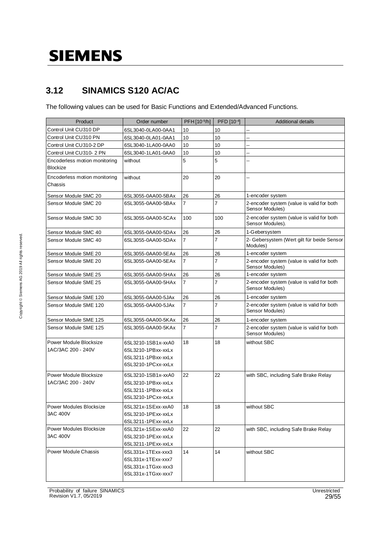### **3.12 SINAMICS S120 AC/AC**

The following values can be used for Basic Functions and Extended/Advanced Functions.

| Product                                          | Order number                                                                         | PFH [10-9/h]   | PFD [10-4]     | <b>Additional details</b>                                     |
|--------------------------------------------------|--------------------------------------------------------------------------------------|----------------|----------------|---------------------------------------------------------------|
| Control Unit CU310 DP                            | 6SL3040-0LA00-0AA1                                                                   | 10             | 10             | --                                                            |
| Control Unit CU310 PN                            | 6SL3040-0LA01-0AA1                                                                   | 10             | 10             | --                                                            |
| Control Unit CU310-2 DP                          | 6SL3040-1LA00-0AA0                                                                   | 10             | 10             | --                                                            |
| Control Unit CU310-2 PN                          | 6SL3040-1LA01-0AA0                                                                   | 10             | 10             | --                                                            |
| Encoderless motion monitoring<br><b>Blockize</b> | without                                                                              | 5              | 5              | --                                                            |
| Encoderless motion monitoring<br>Chassis         | without                                                                              | 20             | 20             | --                                                            |
| Sensor Module SMC 20                             | 6SL3055-0AA00-5BAx                                                                   | 26             | 26             | 1-encoder system                                              |
| Sensor Module SMC 20                             | 6SL3055-0AA00-5BAx                                                                   | $\overline{7}$ | $\overline{7}$ | 2-encoder system (value is valid for both<br>Sensor Modules)  |
| Sensor Module SMC 30                             | 6SL3055-0AA00-5CAx                                                                   | 100            | 100            | 2-encoder system (value is valid for both<br>Sensor Modules). |
| Sensor Module SMC 40                             | 6SL3055-0AA00-5DAx                                                                   | 26             | 26             | 1-Gebersystem                                                 |
| Sensor Module SMC 40                             | 6SL3055-0AA00-5DAx                                                                   | $\overline{7}$ | $\overline{7}$ | 2- Gebersystem (Wert gilt für beide Sensor<br>Modules)        |
| Sensor Module SME 20                             | 6SL3055-0AA00-5EAx                                                                   | 26             | 26             | 1-encoder system                                              |
| Sensor Module SME 20                             | 6SL3055-0AA00-5EAx                                                                   | $\overline{7}$ | $\overline{7}$ | 2-encoder system (value is valid for both<br>Sensor Modules)  |
| Sensor Module SME 25                             | 6SL3055-0AA00-5HAx                                                                   | 26             | 26             | 1-encoder system                                              |
| Sensor Module SME 25                             | 6SL3055-0AA00-5HAx                                                                   | $\overline{7}$ | $\overline{7}$ | 2-encoder system (value is valid for both<br>Sensor Modules)  |
| Sensor Module SME 120                            | 6SL3055-0AA00-5JAx                                                                   | 26             | 26             | 1-encoder system                                              |
| Sensor Module SME 120                            | 6SL3055-0AA00-5JAx                                                                   | $\overline{7}$ | $\overline{7}$ | 2-encoder system (value is valid for both<br>Sensor Modules)  |
| Sensor Module SME 125                            | 6SL3055-0AA00-5KAx                                                                   | 26             | 26             | 1-encoder system                                              |
| Sensor Module SME 125                            | 6SL3055-0AA00-5KAx                                                                   | $\overline{7}$ | $\overline{7}$ | 2-encoder system (value is valid for both<br>Sensor Modules)  |
| Power Module Blocksize<br>1AC/3AC 200 - 240V     | 6SL3210-1SB1x-xxA0<br>6SL3210-1PBxx-xxLx<br>6SL3211-1PBxx-xxLx<br>6SL3210-1PCxx-xxLx | 18             | 18             | without SBC                                                   |
| Power Module Blocksize<br>1AC/3AC 200 - 240V     | 6SL3210-1SB1x-xxA0<br>6SL3210-1PBxx-xxLx<br>6SL3211-1PBxx-xxLx<br>6SL3210-1PCxx-xxLx | 22             | 22             | with SBC, including Safe Brake Relay                          |
| Power Modules Blocksize<br>3AC 400V              | 6SL321x-1SExx-xxA0<br>6SL3210-1PExx-xxLx<br>6SL3211-1PExx-xxLx                       | 18             | 18             | without SBC                                                   |
| Power Modules Blocksize<br>3AC 400V              | 6SL321x-1SExx-xxA0<br>6SL3210-1PExx-xxLx<br>6SL3211-1PExx-xxLx                       | 22             | 22             | with SBC, including Safe Brake Relay                          |
| Power Module Chassis                             | 6SL331x-1TExx-xxx3<br>6SL331x-1TExx-xxx7<br>6SL331x-1TGxx-xxx3<br>6SL331x-1TGxx-xxx7 | 14             | 14             | without SBC                                                   |

Probability\_of\_failure\_SINAMICS Unrestricted Revision V1.7, 05/2019 29/55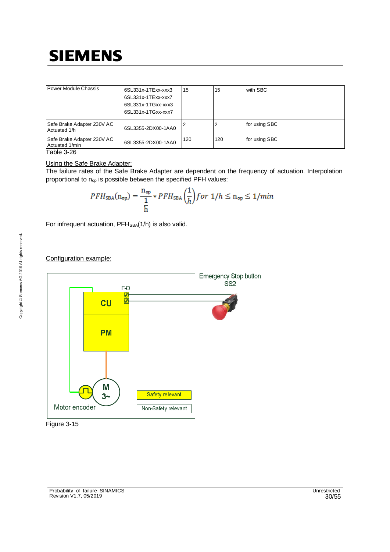| Power Module Chassis                         | I6SL331x-1TExx-xxx3<br>6SL331x-1TExx-xxx7<br>6SL331x-1TGxx-xxx3<br>I6SL331x-1TGxx-xxx7 | 15  | 15  | with SBC      |
|----------------------------------------------|----------------------------------------------------------------------------------------|-----|-----|---------------|
| Safe Brake Adapter 230V AC<br>Actuated 1/h   | 6SL3355-2DX00-1AA0                                                                     |     |     | for using SBC |
| Safe Brake Adapter 230V AC<br>Actuated 1/min | 6SL3355-2DX00-1AA0                                                                     | 120 | 120 | for using SBC |
| — <b>II</b> A AA                             |                                                                                        |     |     |               |

Table 3-26

#### Using the Safe Brake Adapter:

The failure rates of the Safe Brake Adapter are dependent on the frequency of actuation. Interpolation proportional to  $n_{op}$  is possible between the specified PFH values:

$$
PFH_{\text{SBA}}(n_{\text{op}}) = \frac{n_{\text{op}}}{\frac{1}{h}} * PFH_{\text{SBA}}\left(\frac{1}{h}\right) \text{ for } 1/h \le n_{\text{op}} \le 1/\text{min}
$$

For infrequent actuation, PFH<sub>SBA</sub>(1/h) is also valid.

### Configuration example:



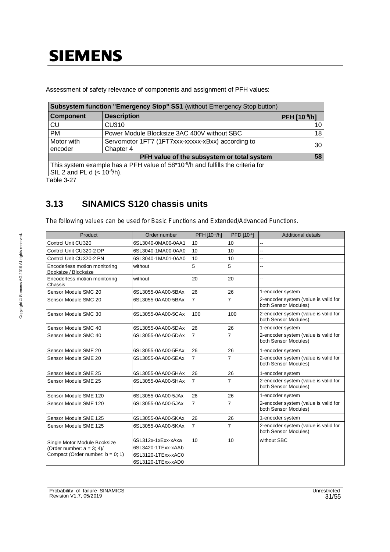Assessment of safety relevance of components and assignment of PFH values:

|                                                                                                                              | Subsystem function "Emergency Stop" SS1 (without Emergency Stop button) |              |  |  |  |
|------------------------------------------------------------------------------------------------------------------------------|-------------------------------------------------------------------------|--------------|--|--|--|
| <b>Component</b>                                                                                                             | <b>Description</b>                                                      | PFH [10-9/h] |  |  |  |
| <b>CU</b>                                                                                                                    | <b>CU310</b>                                                            | 10           |  |  |  |
| <b>PM</b>                                                                                                                    | Power Module Blocksize 3AC 400V without SBC                             | 18           |  |  |  |
| Motor with<br>encoder                                                                                                        | Servomotor 1FT7 (1FT7xxx-xxxxx-xBxx) according to<br>Chapter 4          | 30           |  |  |  |
| 58<br>PFH value of the subsystem or total system                                                                             |                                                                         |              |  |  |  |
| This system example has a PFH value of $58*10^{\degree}/h$ and fulfills the criteria for<br>SIL 2 and PL d $(< 10^{-6}/h$ ). |                                                                         |              |  |  |  |

Table 3-27

### **3.13 SINAMICS S120 chassis units**

The following values can be used for Basic Functions and Extended/Advanced Functions.

| <b>Product</b>                                        | Order number       | PFH [10-9/h]   | PFD [10-4] | <b>Additional details</b>                                     |
|-------------------------------------------------------|--------------------|----------------|------------|---------------------------------------------------------------|
| Control Unit CU320                                    | 6SL3040-0MA00-0AA1 | 10             | 10         |                                                               |
| Control Unit CU320-2 DP                               | 6SL3040-1MA00-0AA0 | 10             | 10         | ц,                                                            |
| Control Unit CU320-2 PN                               | 6SL3040-1MA01-0AA0 | 10             | 10         | ц,                                                            |
| Encoderless motion monitoring<br>Booksize / Blocksize | without            | 5              | 5          |                                                               |
| Encoderless motion monitoring<br>Chassis              | without            | 20             | 20         | -−                                                            |
| Sensor Module SMC 20                                  | 6SL3055-0AA00-5BAx | 26             | 26         | 1-encoder system                                              |
| Sensor Module SMC 20                                  | 6SL3055-0AA00-5BAx | $\overline{7}$ | 7          | 2-encoder system (value is valid for<br>both Sensor Modules)  |
| Sensor Module SMC 30                                  | 6SL3055-0AA00-5CAx | 100            | 100        | 2-encoder system (value is valid for<br>both Sensor Modules). |
| Sensor Module SMC 40                                  | 6SL3055-0AA00-5DAx | 26             | 26         | 1-encoder system                                              |
| Sensor Module SMC 40                                  | 6SL3055-0AA00-5DAx | 7              | 7          | 2-encoder system (value is valid for<br>both Sensor Modules)  |
| Sensor Module SME 20                                  | 6SL3055-0AA00-5EAx | 26             | 26         | 1-encoder system                                              |
| Sensor Module SME 20                                  | 6SL3055-0AA00-5EAx | 7              | 7          | 2-encoder system (value is valid for<br>both Sensor Modules)  |
| Sensor Module SME 25                                  | 6SL3055-0AA00-5HAx | 26             | 26         | 1-encoder system                                              |
| Sensor Module SME 25                                  | 6SL3055-0AA00-5HAx | 7              | 7          | 2-encoder system (value is valid for<br>both Sensor Modules)  |
| Sensor Module SME 120                                 | 6SL3055-0AA00-5JAx | 26             | 26         | 1-encoder system                                              |
| Sensor Module SME 120                                 | 6SL3055-0AA00-5JAx | $\overline{7}$ | 7          | 2-encoder system (value is valid for<br>both Sensor Modules)  |
| Sensor Module SME 125                                 | 6SL3055-0AA00-5KAx | 26             | 26         | 1-encoder system                                              |
| Sensor Module SME 125                                 | 6SL3055-0AA00-5KAx | 7              | 7          | 2-encoder system (value is valid for<br>both Sensor Modules)  |
| Single Motor Module Booksize                          | 6SL312x-1xExx-xAxa | 10             | 10         | without SBC                                                   |
| (Order number: $a = 3$ ; 4)/                          | 6SL3420-1TExx-xAAb |                |            |                                                               |
| Compact (Order number: $b = 0$ ; 1)                   | 6SL3120-1TExx-xAC0 |                |            |                                                               |
|                                                       | 6SL3120-1TExx-xAD0 |                |            |                                                               |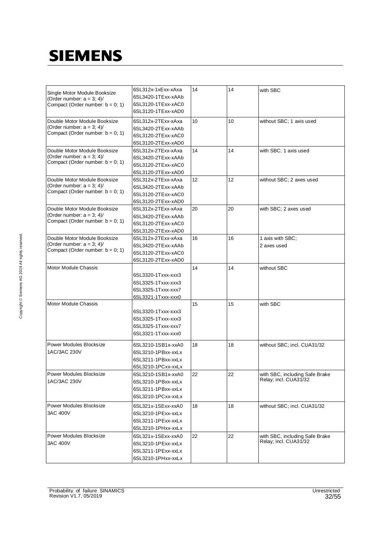| Single Motor Module Booksize<br>(Order number: $a = 3$ ; 4)/<br>Compact (Order number: $b = 0$ ; 1) | 6SL312x-1xExx-xAxa<br>6SL3420-1TExx-xAAb<br>6SL3120-1TExx-xAC0<br>6SL3120-1TExx-xAD0                       | 14 | 14 | with SBC                                                |
|-----------------------------------------------------------------------------------------------------|------------------------------------------------------------------------------------------------------------|----|----|---------------------------------------------------------|
| Double Motor Module Booksize<br>(Order number: $a = 3$ ; 4)/<br>Compact (Order number: $b = 0$ ; 1) | 6SL312x-2TExx-xAxa<br>6SL3420-2TExx-xAAb<br>6SL3120-2TExx-xAC0                                             | 10 | 10 | without SBC; 1 axis used                                |
| Double Motor Module Booksize<br>(Order number: $a = 3; 4$ )<br>Compact (Order number: $b = 0$ ; 1)  | 6SL3120-2TExx-xAD0<br>6SL312x-2TExx-xAxa<br>6SL3420-2TExx-xAAb<br>6SL3120-2TExx-xAC0<br>6SL3120-2TExx-xAD0 | 14 | 14 | with SBC; 1 axis used                                   |
| Double Motor Module Booksize<br>(Order number: $a = 3$ ; 4)/<br>Compact (Order number: $b = 0$ ; 1) | 6SL312x-2TExx-xAxa<br>6SL3420-2TExx-xAAb<br>6SL3120-2TExx-xAC0                                             | 12 | 12 | without SBC; 2 axes used                                |
| Double Motor Module Booksize<br>(Order number: $a = 3$ ; 4)/<br>Compact (Order number: $b = 0$ ; 1) | 6SL3120-2TExx-xAD0<br>6SL312x-2TExx-xAxa<br>6SL3420-2TExx-xAAb<br>6SL3120-2TExx-xAC0                       | 20 | 20 | with SBC; 2 axes used                                   |
| Double Motor Module Booksize<br>(Order number: $a = 3$ ; 4)/<br>Compact (Order number: $b = 0$ ; 1) | 6SL3120-2TExx-xAD0<br>6SL312x-2TExx-xAxa<br>6SL3420-2TExx-xAAb<br>6SL3120-2TExx-xAC0<br>6SL3120-2TExx-xAD0 | 16 | 16 | 1 axis with SBC;<br>2 axes used                         |
| Motor Module Chassis                                                                                | 6SL3320-1Txxx-xxx3<br>6SL3325-1Txxx-xxx3<br>6SL3325-1Txxx-xxx7<br>6SL3321-1Txxx-xxx0                       | 14 | 14 | without SBC                                             |
| <b>Motor Module Chassis</b>                                                                         | 6SL3320-1Txxx-xxx3<br>6SL3325-1Txxx-xxx3<br>6SL3325-1Txxx-xxx7<br>6SL3321-1Txxx-xxx0                       | 15 | 15 | with SBC                                                |
| Power Modules Blocksize<br>1AC/3AC 230V                                                             | 6SL3210-1SB1x-xxA0<br>6SL3210-1PBxx-xxLx<br>6SL3211-1PBxx-xxLx<br>6SL3210-1PCxx-xxLx                       | 18 | 18 | without SBC; incl. CUA31/32                             |
| <b>Power Modules Blocksize</b><br>1AC/3AC 230V                                                      | 6SL3210-1SB1x-xxA0<br>6SL3210-1PBxx-xxLx<br>6SL3211-1PBxx-xxLx<br>6SL3210-1PCxx-xxLx                       | 22 | 22 | with SBC, including Safe Brake<br>Relay; incl. CUA31/32 |
| Power Modules Blocksize<br>3AC 400V                                                                 | 6SL321x-1SExx-xxA0<br>6SL3210-1PExx-xxLx<br>6SL3211-1PExx-xxLx<br>6SL3210-1PHxx-xxLx                       | 18 | 18 | without SBC; incl. CUA31/32                             |
| Power Modules Blocksize<br>3AC 400V                                                                 | 6SL321x-1SExx-xxA0<br>6SL3210-1PExx-xxLx<br>6SL3211-1PExx-xxLx<br>6SL3210-1PHxx-xxLx                       | 22 | 22 | with SBC, including Safe Brake<br>Relay; incl. CUA31/32 |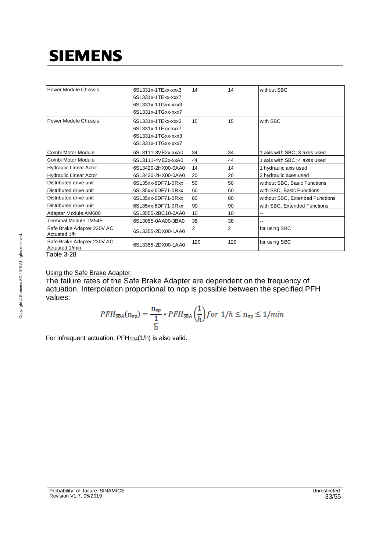| Power Module Chassis                         | 6SL331x-1TExx-xxx3<br>6SL331x-1TExx-xxx7<br>6SL331x-1TGxx-xxx3<br>6SL331x-1TGxx-xxx7 | 14  | 14  | without SBC                     |
|----------------------------------------------|--------------------------------------------------------------------------------------|-----|-----|---------------------------------|
| Power Module Chassis                         | 6SL331x-1TExx-xxx3<br>6SL331x-1TExx-xxx7<br>6SL331x-1TGxx-xxx3<br>6SL331x-1TGxx-xxx7 | 15  | 15  | with SBC                        |
| Combi Motor Module                           | 6SL3111-3VE2x-xxA0                                                                   | 34  | 34  | 1 axis with SBC; 3 axes used    |
| Combi Motor Module                           | 6SL3111-4VE2x-xxA0                                                                   | 44  | 44  | 1 axis with SBC; 4 axes used    |
| Hydraulic Linear Actor                       | 6SL3420-2HX00-0AA0                                                                   | 14  | 14  | 1 hydraulic axis used           |
| <b>Hydraulic Linear Actor</b>                | 6SL3420-2HX00-0AA0                                                                   | 20  | 20  | 2 hydraulic axes used           |
| Distributed drive unit                       | 6SL35xx-6DF71-0Rxx                                                                   | 50  | 50  | without SBC, Basic Functions    |
| Distributed drive unit                       | 6SL35xx-6DF71-0Rxx                                                                   | 60  | 60  | with SBC, Basic Functions       |
| Distributed drive unit                       | 6SL35xx-6DF71-0Rxx                                                                   | 80  | 80  | without SBC, Extended Functions |
| Distributed drive unit                       | 6SL35xx-6DF71-0Rxx                                                                   | 90  | 90  | with SBC, Extended Functions    |
| Adapter Module AM600                         | 6SL3555-2BC10-0AA0                                                                   | 10  | 10  |                                 |
| Terminal Module TM54F                        | 6SL3055-0AA00-3BA0                                                                   | 38  | 38  |                                 |
| Safe Brake Adapter 230V AC<br>Actuated 1/h   | 6SL3355-2DX00-1AA0                                                                   | 2   | 2   | for using SBC                   |
| Safe Brake Adapter 230V AC<br>Actuated 1/min | 6SL3355-2DX00-1AA0                                                                   | 120 | 120 | for using SBC                   |
| $T_2$ kia $2.20$                             |                                                                                      |     |     |                                 |

Table 3-28

### Using the Safe Brake Adapter:

The failure rates of the Safe Brake Adapter are dependent on the frequency of actuation. Interpolation proportional to nop is possible between the specified PFH values:

$$
PFH_{\text{SBA}}(n_{\text{op}}) = \frac{n_{\text{op}}}{\frac{1}{h}} * PFH_{\text{SBA}}\left(\frac{1}{h}\right) \text{ for } 1/h \le n_{\text{op}} \le 1/\text{min}
$$

For infrequent actuation, PFH<sub>SBA</sub>(1/h) is also valid.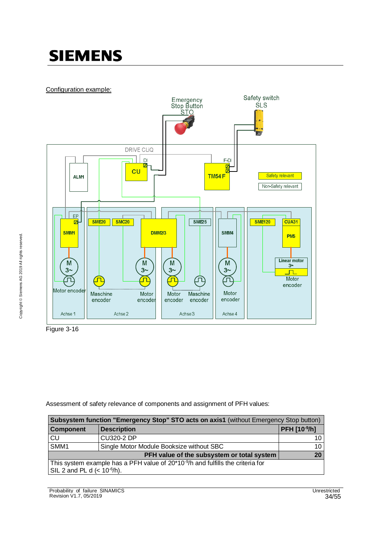Configuration example:



Figure 3-16

Assessment of safety relevance of components and assignment of PFH values:

| Subsystem function "Emergency Stop" STO acts on axis1 (without Emergency Stop button)       |                                          |              |  |  |  |
|---------------------------------------------------------------------------------------------|------------------------------------------|--------------|--|--|--|
| <b>Component</b>                                                                            | <b>Description</b>                       | PFH [10-9/h] |  |  |  |
| CU                                                                                          | CU320-2 DP                               | 10           |  |  |  |
| SMM <sub>1</sub>                                                                            | Single Motor Module Booksize without SBC | 10           |  |  |  |
| 20<br>PFH value of the subsystem or total system                                            |                                          |              |  |  |  |
| This system example has a PFH value of 20*10 <sup>-9</sup> /h and fulfills the criteria for |                                          |              |  |  |  |
| $\vert$ SIL 2 and PL d (< $10^{-6}$ /h).                                                    |                                          |              |  |  |  |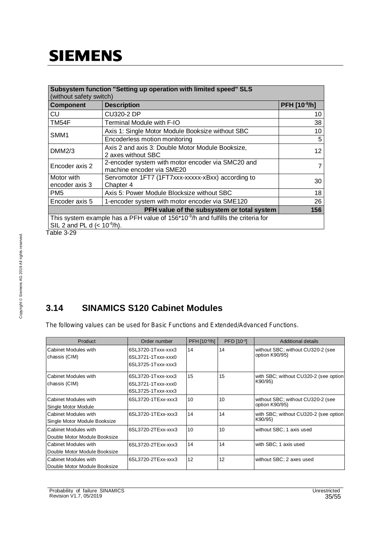| Subsystem function "Setting up operation with limited speed" SLS<br>(without safety switch) |                                                                                   |              |  |  |
|---------------------------------------------------------------------------------------------|-----------------------------------------------------------------------------------|--------------|--|--|
| <b>Component</b>                                                                            | <b>Description</b>                                                                | PFH [10-9/h] |  |  |
| CU                                                                                          | CU320-2 DP                                                                        | 10           |  |  |
| TM54F                                                                                       | Terminal Module with F-IO                                                         | 38           |  |  |
| SMM1                                                                                        | Axis 1: Single Motor Module Booksize without SBC                                  | 10           |  |  |
|                                                                                             | Encoderless motion monitoring                                                     | 5            |  |  |
| DMM2/3                                                                                      | Axis 2 and axis 3: Double Motor Module Booksize,<br>2 axes without SBC            | 12           |  |  |
| Encoder axis 2                                                                              | 2-encoder system with motor encoder via SMC20 and<br>machine encoder via SME20    | 7            |  |  |
| Motor with<br>encoder axis 3                                                                | Servomotor 1FT7 (1FT7xxx-xxxxx-xBxx) according to<br>Chapter 4                    | 30           |  |  |
| PM5                                                                                         | Axis 5: Power Module Blocksize without SBC                                        | 18           |  |  |
| Encoder axis 5                                                                              | 1-encoder system with motor encoder via SME120                                    | 26           |  |  |
| PFH value of the subsystem or total system<br>156                                           |                                                                                   |              |  |  |
| SIL 2 and PL d $(< 10^{-6}/h$ ).                                                            | This system example has a PFH value of $156*10-9/h$ and fulfills the criteria for |              |  |  |

Table 3-29

### **3.14 SINAMICS S120 Cabinet Modules**

The following values can be used for Basic Functions and Extended/Advanced Functions.

| Product                                              | Order number                                                   | PFH [10-9/h] | PFD [10-4] | Additional details                                  |
|------------------------------------------------------|----------------------------------------------------------------|--------------|------------|-----------------------------------------------------|
| Cabinet Modules with<br>chassis (CIM)                | 6SL3720-1Txxx-xxx3<br>6SL3721-1Txxx-xxx0<br>6SL3725-1Txxx-xxx3 | 14           | 14         | without SBC; without CU320-2 (see<br>option K90/95) |
| Cabinet Modules with<br>chassis (CIM)                | 6SL3720-1Txxx-xxx3<br>6SL3721-1Txxx-xxx0<br>6SL3725-1Txxx-xxx3 | 15           | 15         | with SBC; without CU320-2 (see option<br>K90/95)    |
| Cabinet Modules with<br>Single Motor Module          | 6SL3720-1TExx-xxx3                                             | 10           | 10         | without SBC; without CU320-2 (see<br>option K90/95) |
| Cabinet Modules with<br>Single Motor Module Booksize | 6SL3720-1TExx-xxx3                                             | 14           | 14         | with SBC; without CU320-2 (see option<br>K90/95)    |
| Cabinet Modules with<br>Double Motor Module Booksize | 6SL3720-2TExx-xxx3                                             | 10           | 10         | without SBC; 1 axis used                            |
| Cabinet Modules with<br>Double Motor Module Booksize | 6SL3720-2TExx-xxx3                                             | 14           | 14         | with SBC; 1 axis used                               |
| Cabinet Modules with<br>Double Motor Module Booksize | 6SL3720-2TExx-xxx3                                             | 12           | 12         | without SBC; 2 axes used                            |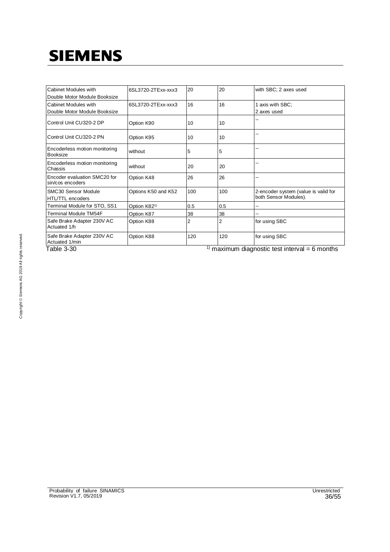| Cabinet Modules with<br>Double Motor Module Booksize | 6SL3720-2TExx-xxx3       | 20  | 20  | with SBC; 2 axes used                                            |
|------------------------------------------------------|--------------------------|-----|-----|------------------------------------------------------------------|
| Cabinet Modules with<br>Double Motor Module Booksize | 6SL3720-2TExx-xxx3       | 16  | 16  | 1 axis with SBC;<br>2 axes used                                  |
| Control Unit CU320-2 DP                              | Option K90               | 10  | 10  |                                                                  |
| Control Unit CU320-2 PN                              | Option K95               | 10  | 10  |                                                                  |
| Encoderless motion monitoring<br>Booksize            | without                  | 5   | 5   |                                                                  |
| Encoderless motion monitoring<br>Chassis             | without                  | 20  | 20  |                                                                  |
| Encoder evaluation SMC20 for<br>sin/cos encoders     | Option K48               | 26  | 26  |                                                                  |
| SMC30 Sensor Module<br>HTL/TTL encoders              | Options K50 and K52      | 100 | 100 | 2-encoder system (value is valid for<br>both Sensor Modules).    |
| Terminal Module for STO, SS1                         | Option K82 <sup>1)</sup> | 0.5 | 0.5 |                                                                  |
| <b>Terminal Module TM54F</b>                         | Option K87               | 38  | 38  |                                                                  |
| Safe Brake Adapter 230V AC<br>Actuated 1/h           | Option K88               | 2   | 2   | for using SBC                                                    |
| Safe Brake Adapter 230V AC<br>Actuated 1/min         | Option K88               | 120 | 120 | for using SBC                                                    |
| エュトレュ つ つへ                                           |                          |     |     | $\frac{1}{2}$ movimum dingraphic toot intended $\epsilon$ months |

Table 3-30 1) Table 3-30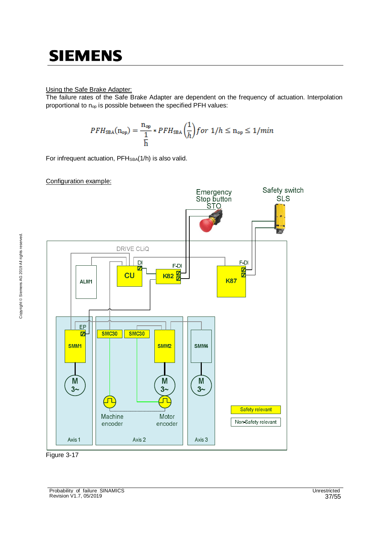#### Using the Safe Brake Adapter:

The failure rates of the Safe Brake Adapter are dependent on the frequency of actuation. Interpolation proportional to n<sub>op</sub> is possible between the specified PFH values:

$$
PFH_{\text{SBA}}(n_{\text{op}}) = \frac{n_{\text{op}}}{\frac{1}{h}} * PFH_{\text{SBA}}\left(\frac{1}{h}\right) \text{ for } 1/h \le n_{\text{op}} \le 1/\text{min}
$$

For infrequent actuation, PFH<sub>SBA</sub>(1/h) is also valid.

#### Configuration example:



Figure 3-17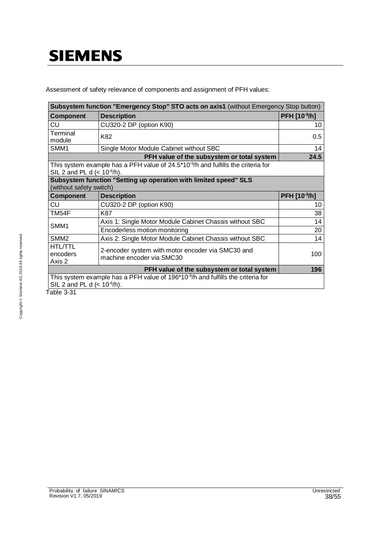Assessment of safety relevance of components and assignment of PFH values:

| Subsystem function "Emergency Stop" STO acts on axis1 (without Emergency Stop button) |                                                                                              |                     |  |  |
|---------------------------------------------------------------------------------------|----------------------------------------------------------------------------------------------|---------------------|--|--|
| Component                                                                             | <b>Description</b>                                                                           | <b>PFH [10-9/h]</b> |  |  |
| CU                                                                                    | CU320-2 DP (option K90)                                                                      | 10                  |  |  |
| Terminal<br>module                                                                    | K82                                                                                          | 0.5                 |  |  |
| SMM1                                                                                  | Single Motor Module Cabinet without SBC                                                      | 14                  |  |  |
|                                                                                       | PFH value of the subsystem or total system                                                   | 24.5                |  |  |
| SIL 2 and PL d $(< 10^{-6}/h$ ).                                                      | This system example has a PFH value of $24.5*10-9/h$ and fulfills the criteria for           |                     |  |  |
|                                                                                       | Subsystem function "Setting up operation with limited speed" SLS<br>(without safety switch)  |                     |  |  |
| <b>Component</b>                                                                      | <b>Description</b>                                                                           | PFH [10-9/h]        |  |  |
| CU                                                                                    | CU320-2 DP (option K90)                                                                      | 10                  |  |  |
| TM54F                                                                                 | K87                                                                                          | 38                  |  |  |
| SMM1                                                                                  | Axis 1: Single Motor Module Cabinet Chassis without SBC                                      | 14                  |  |  |
|                                                                                       | Encoderless motion monitoring                                                                | 20                  |  |  |
| SMM <sub>2</sub>                                                                      | Axis 2: Single Motor Module Cabinet Chassis without SBC                                      | 14                  |  |  |
| <b>HTL/TTL</b><br>encoders<br>Axis 2                                                  | 2-encoder system with motor encoder via SMC30 and<br>machine encoder via SMC30               | 100                 |  |  |
|                                                                                       | 196                                                                                          |                     |  |  |
| SIL 2 and PL d $(< 10^{-6}/h$ ).                                                      | This system example has a PFH value of 196*10 <sup>-9</sup> /h and fulfills the criteria for |                     |  |  |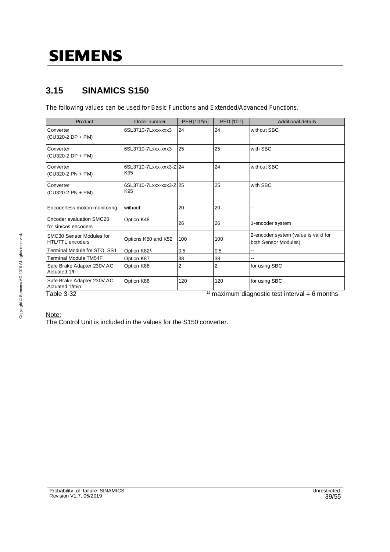### **3.15 SINAMICS S150**

The following values can be used for Basic Functions and Extended/Advanced Functions.

| Product                                          | Order number                   | PFH [10-9/h]   | PFD [10-4] | Additional details                                           |
|--------------------------------------------------|--------------------------------|----------------|------------|--------------------------------------------------------------|
| Converter<br>(CU320-2 DP + PM)                   | 6SL3710-7Lxxx-xxx3             | 24             | 24         | without SBC                                                  |
| Converter<br>(CU320-2 DP + PM)                   | 6SL3710-7Lxxx-xxx3             | 25             | 25         | with SBC                                                     |
| Converter<br>(CU320-2 PN + PM)                   | 6SL3710-7Lxxx-xxx3-Z 24<br>K95 |                | 24         | without SBC                                                  |
| Converter<br>(CU320-2 PN + PM)                   | 6SL3710-7Lxxx-xxx3-Z 25<br>K95 |                | 25         | with SBC                                                     |
| Encoderless motion monitoring                    | without                        | 20             | 20         | --                                                           |
| Encoder evaluation SMC20<br>for sin/cos encoders | Option K48                     | 26             | 26         | 1-encoder system                                             |
| SMC30 Sensor Modules for<br>HTL/TTL encoders     | Options K50 and K52            | 100            | 100        | 2-encoder system (value is valid for<br>both Sensor Modules) |
| Terminal Module for STO, SS1                     | Option K82 <sup>1)</sup>       | 0.5            | 0.5        |                                                              |
| Terminal Module TM54F                            | Option K87                     | 38             | 38         |                                                              |
| Safe Brake Adapter 230V AC<br>Actuated 1/h       | Option K88                     | $\overline{2}$ | 2          | for using SBC                                                |
| Safe Brake Adapter 230V AC<br>Actuated 1/min     | Option K88                     | 120            | 120        | for using SBC                                                |
| Table 3-32                                       |                                | 1)             |            | maximum diagnostic test interval = $6$ months                |

#### Note:

The Control Unit is included in the values for the S150 converter.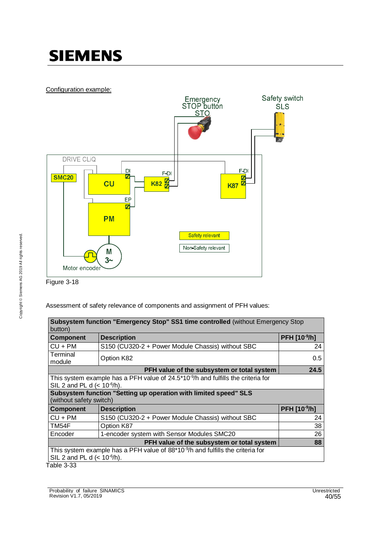### Configuration example:



Figure 3-18

Assessment of safety relevance of components and assignment of PFH values:

| Subsystem function "Emergency Stop" SS1 time controlled (without Emergency Stop<br>button)                                                         |                                                                                                                        |              |  |  |
|----------------------------------------------------------------------------------------------------------------------------------------------------|------------------------------------------------------------------------------------------------------------------------|--------------|--|--|
| <b>Component</b>                                                                                                                                   | <b>Description</b>                                                                                                     | PFH [10-9/h] |  |  |
| $CU + PM$                                                                                                                                          | S150 (CU320-2 + Power Module Chassis) without SBC                                                                      | 24           |  |  |
| Terminal<br>module                                                                                                                                 | Option K82                                                                                                             | 0.5          |  |  |
|                                                                                                                                                    | PFH value of the subsystem or total system                                                                             | 24.5         |  |  |
|                                                                                                                                                    | This system example has a PFH value of $24.5*10-9/h$ and fulfills the criteria for<br>SIL 2 and PL d $(< 10^{-6}/h)$ . |              |  |  |
| Subsystem function "Setting up operation with limited speed" SLS<br>(without safety switch)                                                        |                                                                                                                        |              |  |  |
| <b>Component</b>                                                                                                                                   | <b>Description</b>                                                                                                     | PFH [10-9/h] |  |  |
| $CU + PM$                                                                                                                                          | S150 (CU320-2 + Power Module Chassis) without SBC                                                                      | 24           |  |  |
| TM54F                                                                                                                                              | Option K87                                                                                                             | 38           |  |  |
| 26<br>Encoder<br>1-encoder system with Sensor Modules SMC20                                                                                        |                                                                                                                        |              |  |  |
|                                                                                                                                                    | 88                                                                                                                     |              |  |  |
| This system example has a PFH value of 88*10 <sup>-9</sup> /h and fulfills the criteria for<br>SIL 2 and PL d $(< 10^{-6}/h$ ).<br>$T$ ahla $2.22$ |                                                                                                                        |              |  |  |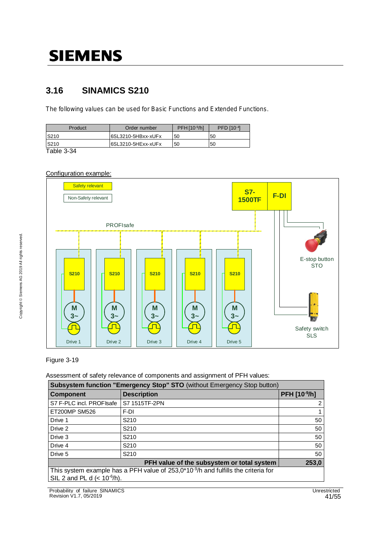### **3.16 SINAMICS S210**

The following values can be used for Basic Functions and Extended Functions.

| S210<br>6SL3210-5HBxx-xUFx               |    |
|------------------------------------------|----|
| 50                                       | 50 |
| 6SL3210-5HExx-xUFx<br><b>S210</b><br>.50 | 50 |

Table 3-34

#### Configuration example:



#### Figure 3-19

Assessment of safety relevance of components and assignment of PFH values:

| Subsystem function "Emergency Stop" STO (without Emergency Stop button)             |                    |              |  |
|-------------------------------------------------------------------------------------|--------------------|--------------|--|
| <b>Component</b>                                                                    | <b>Description</b> | PFH [10-9/h] |  |
| S7 F-PLC incl. PROFIsafe                                                            | S7 1515TF-2PN      | 2            |  |
| <b>ET200MP SM526</b>                                                                | F-DI               |              |  |
| Drive 1                                                                             | S210               | 50           |  |
| Drive 2                                                                             | S <sub>210</sub>   | 50           |  |
| Drive 3                                                                             | S <sub>210</sub>   | 50           |  |
| Drive 4                                                                             | S <sub>210</sub>   | 50           |  |
| Drive 5                                                                             | S <sub>210</sub>   | 50           |  |
| 253,0<br>PFH value of the subsystem or total system                                 |                    |              |  |
| This system example has a PFH value of $253,0*10-9/h$ and fulfills the criteria for |                    |              |  |
| SIL 2 and PL d $(< 10^{-6}/h$ ).                                                    |                    |              |  |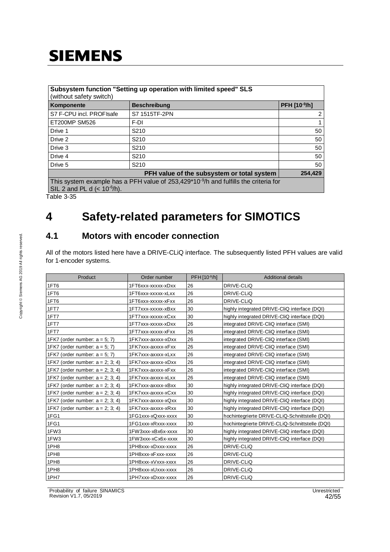| Subsystem function "Setting up operation with limited speed" SLS<br>(without safety switch)                                          |                     |              |  |
|--------------------------------------------------------------------------------------------------------------------------------------|---------------------|--------------|--|
| Komponente                                                                                                                           | <b>Beschreibung</b> | PFH [10-9/h] |  |
| S7 F-CPU incl. PROFIsafe                                                                                                             | S7 1515TF-2PN       | 2            |  |
| <b>ET200MP SM526</b>                                                                                                                 | F-DI                |              |  |
| Drive 1                                                                                                                              | S <sub>210</sub>    | 50           |  |
| Drive 2                                                                                                                              | S <sub>210</sub>    | 50           |  |
| Drive 3                                                                                                                              | S <sub>210</sub>    | 50           |  |
| Drive 4                                                                                                                              | S <sub>210</sub>    | 50           |  |
| Drive 5                                                                                                                              | S <sub>210</sub>    | 50           |  |
| PFH value of the subsystem or total system<br>254,429                                                                                |                     |              |  |
| This system example has a PFH value of 253,429*10 <sup>-9</sup> /h and fulfills the criteria for<br>SIL 2 and PL d $(< 10^{-6}/h$ ). |                     |              |  |

Table 3-35

### **4 Safety-related parameters for SIMOTICS**

### **4.1 Motors with encoder connection**

All of the motors listed here have a DRIVE-CLiQ interface. The subsequently listed PFH values are valid for 1-encoder systems.

| Product                             | Order number       | PFH [10-9/h] | <b>Additional details</b>                      |
|-------------------------------------|--------------------|--------------|------------------------------------------------|
| 1FT6                                | 1FT6xxx-xxxxx-xDxx | 26           | DRIVE-CLIQ                                     |
| 1FT6                                | 1FT6xxx-xxxxx-xLxx | 26           | DRIVE-CLIQ                                     |
| 1FT6                                | 1FT6xxx-xxxxx-xFxx | 26           | DRIVE-CLIQ                                     |
| 1FT7                                | 1FT7xxx-xxxxx-xBxx | 30           | highly integrated DRIVE-CliQ interface (DQI)   |
| 1FT7                                | 1FT7xxx-xxxxx-xCxx | 30           | highly integrated DRIVE-CliQ interface (DQI)   |
| 1FT7                                | 1FT7xxx-xxxxx-xDxx | 26           | integrated DRIVE-CliQ interface (SMI)          |
| 1FT7                                | 1FT7xxx-xxxxx-xFxx | 26           | integrated DRIVE-CliQ interface (SMI)          |
| 1FK7 (order number: $a = 5$ ; 7)    | 1FK7xxx-axxxx-xDxx | 26           | integrated DRIVE-CliQ interface (SMI)          |
| 1FK7 (order number: $a = 5$ ; 7)    | 1FK7xxx-axxxx-xFxx | 26           | integrated DRIVE-CliQ interface (SMI)          |
| 1FK7 (order number: $a = 5$ ; 7)    | 1FK7xxx-axxxx-xLxx | 26           | integrated DRIVE-CliQ interface (SMI)          |
| 1FK7 (order number: $a = 2$ ; 3; 4) | 1FK7xxx-axxxx-xDxx | 26           | integrated DRIVE-CliQ interface (SMI)          |
| 1FK7 (order number: $a = 2$ ; 3; 4) | 1FK7xxx-axxxx-xFxx | 26           | integrated DRIVE-CliQ interface (SMI)          |
| 1FK7 (order number: $a = 2$ ; 3; 4) | 1FK7xxx-axxxx-xLxx | 26           | integrated DRIVE-CliQ interface (SMI)          |
| 1FK7 (order number: $a = 2$ ; 3; 4) | 1FK7xxx-axxxx-xBxx | 30           | highly integrated DRIVE-CliQ interface (DQI)   |
| 1FK7 (order number: $a = 2$ ; 3; 4) | 1FK7xxx-axxxx-xCxx | 30           | highly integrated DRIVE-CliQ interface (DQI)   |
| 1FK7 (order number: $a = 2$ ; 3; 4) | 1FK7xxx-axxxx-xQxx | 30           | highly integrated DRIVE-CliQ interface (DQI)   |
| 1FK7 (order number: $a = 2$ ; 3; 4) | 1FK7xxx-axxxx-xRxx | 30           | highly integrated DRIVE-CliQ interface (DQI)   |
| 1FG1                                | 1FG1xxx-xQxxx-xxxx | 30           | hochintegrierte DRIVE-CLiQ-Schnittstelle (DQI) |
| 1FG1                                | 1FG1xxx-xRxxx-xxxx | 30           | hochintegrierte DRIVE-CLiQ-Schnittstelle (DQI) |
| 1FW3                                | 1FW3xxx-xBx6x-xxxx | 30           | highly integrated DRIVE-CliQ interface (DQI)   |
| 1FW3                                | 1FW3xxx-xCx6x-xxxx | 30           | highly integrated DRIVE-CliQ interface (DQI)   |
| 1PH <sub>8</sub>                    | 1PH8xxx-xDxxx-xxxx | 26           | DRIVE-CLIQ                                     |
| 1PH <sub>8</sub>                    | 1PH8xxx-xFxxx-xxxx | 26           | DRIVE-CLIQ                                     |
| 1PH <sub>8</sub>                    | 1PH8xxx-xVxxx-xxxx | 26           | DRIVE-CLIQ                                     |
| 1PH <sub>8</sub>                    | 1PH8xxx-xUxxx-xxxx | 26           | DRIVE-CLIQ                                     |
| 1PH7                                | 1PH7xxx-xDxxx-xxxx | 26           | DRIVE-CLIQ                                     |

Probability\_of\_failure\_SINAMICS Unrestricted Revision V1.7, 05/2019 42/55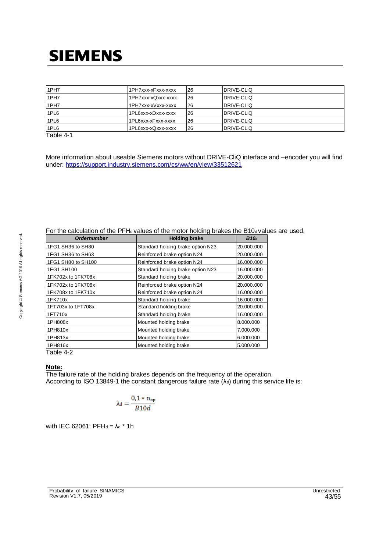| 1PH <sub>7</sub> | 1PH7xxx-xFxxx-xxxx | 26 | DRIVE-CLIQ |
|------------------|--------------------|----|------------|
| 1PH <sub>7</sub> | 1PH7xxx-xQxxx-xxxx | 26 | DRIVE-CLIQ |
| 1PH <sub>7</sub> | 1PH7xxx-xVxxx-xxxx | 26 | DRIVE-CLIQ |
| 1PL6             | 1PL6xxx-xDxxx-xxxx | 26 | DRIVE-CLIQ |
| 1PL6             | 1PL6xxx-xFxxx-xxxx | 26 | DRIVE-CLIQ |
| 1PL6             | 1PL6xxx-xQxxx-xxxx | 26 | DRIVE-CLIQ |
| _                |                    |    |            |

Table 4-1

More information about useable Siemens motors without DRIVE-CliQ interface and –encoder you will find under: https://support.industry.siemens.com/cs/ww/en/view/33512621

| <b>Holding brake</b>              | B10 <sub>d</sub> |
|-----------------------------------|------------------|
| Standard holding brake option N23 | 20.000.000       |
| Reinforced brake option N24       | 20.000.000       |
| Reinforced brake option N24       | 16.000.000       |
| Standard holding brake option N23 | 16.000.000       |
| Standard holding brake            | 20.000.000       |
| Reinforced brake option N24       | 20.000.000       |
| Reinforced brake option N24       | 16.000.000       |
| Standard holding brake            | 16.000.000       |
| Standard holding brake            | 20.000.000       |
| Standard holding brake            | 16.000.000       |
| Mounted holding brake             | 8.000.000        |
| Mounted holding brake             | 7.000.000        |
| Mounted holding brake             | 6.000.000        |
| Mounted holding brake             | 5.000.000        |
|                                   |                  |

### For the calculation of the PFHd values of the motor holding brakes the B10d values are used.

Table 4-2

#### **Note:**

The failure rate of the holding brakes depends on the frequency of the operation. According to ISO 13849-1 the constant dangerous failure rate  $(\lambda_d)$  during this service life is:

$$
\lambda_d = \frac{0.1*\,n_{op}}{\mathit{B10d}}
$$

with IEC 62061:  $PFH_d = \lambda_d * 1h$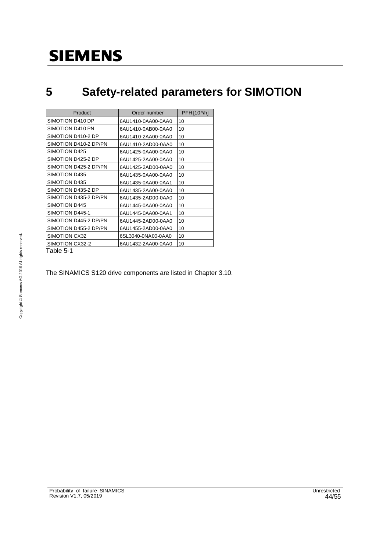### **5 Safety-related parameters for SIMOTION**

| Product               | Order number       | $PFH[10-9/h]$ |
|-----------------------|--------------------|---------------|
| SIMOTION D410 DP      | 6AU1410-0AA00-0AA0 | 10            |
| SIMOTION D410 PN      | 6AU1410-0AB00-0AA0 | 10            |
| SIMOTION D410-2 DP    | 6AU1410-2AA00-0AA0 | 10            |
| SIMOTION D410-2 DP/PN | 6AU1410-2AD00-0AA0 | 10            |
| SIMOTION D425         | 6AU1425-0AA00-0AA0 | 10            |
| SIMOTION D425-2 DP    | 6AU1425-2AA00-0AA0 | 10            |
| SIMOTION D425-2 DP/PN | 6AU1425-2AD00-0AA0 | 10            |
| SIMOTION D435         | 6AU1435-0AA00-0AA0 | 10            |
| SIMOTION D435         | 6AU1435-0AA00-0AA1 | 10            |
| SIMOTION D435-2 DP    | 6AU1435-2AA00-0AA0 | 10            |
| SIMOTION D435-2 DP/PN | 6AU1435-2AD00-0AA0 | 10            |
| SIMOTION D445         | 6AU1445-0AA00-0AA0 | 10            |
| SIMOTION D445-1       | 6AU1445-0AA00-0AA1 | 10            |
| SIMOTION D445-2 DP/PN | 6AU1445-2AD00-0AA0 | 10            |
| SIMOTION D455-2 DP/PN | 6AU1455-2AD00-0AA0 | 10            |
| SIMOTION CX32         | 6SL3040-0NA00-0AA0 | 10            |
| SIMOTION CX32-2       | 6AU1432-2AA00-0AA0 | 10            |
| Table 5-1             |                    |               |

The SINAMICS S120 drive components are listed in Chapter 3.10.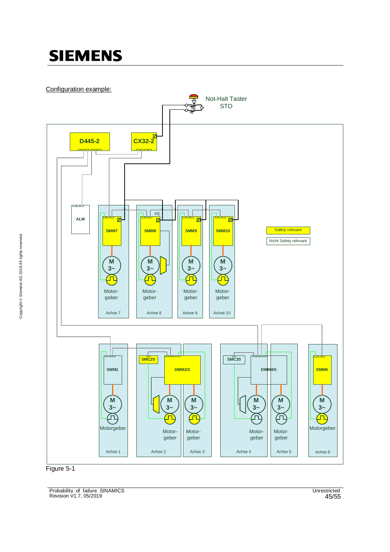Configuration example:





Probability\_of\_failure\_SINAMICS Unrestricted Revision V1.7, 05/2019 45/55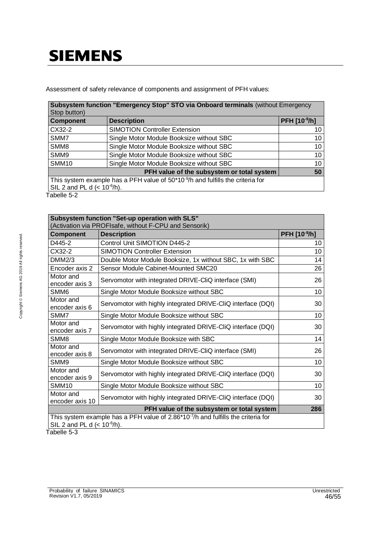Assessment of safety relevance of components and assignment of PFH values:

| Subsystem function "Emergency Stop" STO via Onboard terminals (without Emergency<br>Stop button)                                |                                          |              |  |  |
|---------------------------------------------------------------------------------------------------------------------------------|------------------------------------------|--------------|--|--|
| <b>Component</b>                                                                                                                | <b>Description</b>                       | PFH [10-9/h] |  |  |
| CX32-2                                                                                                                          | <b>SIMOTION Controller Extension</b>     | 10           |  |  |
| SMM7                                                                                                                            | Single Motor Module Booksize without SBC | 10           |  |  |
| SMM8                                                                                                                            | Single Motor Module Booksize without SBC | 10           |  |  |
| SMM9                                                                                                                            | Single Motor Module Booksize without SBC | 10           |  |  |
| SMM <sub>10</sub>                                                                                                               | Single Motor Module Booksize without SBC | 10           |  |  |
| PFH value of the subsystem or total system<br>50                                                                                |                                          |              |  |  |
| This system example has a PFH value of 50*10 <sup>-9</sup> /h and fulfills the criteria for<br>SIL 2 and PL d $(< 10^{-6}/h$ ). |                                          |              |  |  |

Tabelle 5-2

| Subsystem function "Set-up operation with SLS"<br>(Activation via PROFIsafe, without F-CPU and Sensorik)                          |                                                              |                 |  |  |
|-----------------------------------------------------------------------------------------------------------------------------------|--------------------------------------------------------------|-----------------|--|--|
| <b>Component</b>                                                                                                                  | <b>Description</b>                                           | PFH [10-9/h]    |  |  |
| D445-2                                                                                                                            | Control Unit SIMOTION D445-2                                 | 10              |  |  |
| CX32-2                                                                                                                            | <b>SIMOTION Controller Extension</b>                         | 10              |  |  |
| DMM2/3                                                                                                                            | Double Motor Module Booksize, 1x without SBC, 1x with SBC    | 14              |  |  |
| Encoder axis 2                                                                                                                    | Sensor Module Cabinet-Mounted SMC20                          | 26              |  |  |
| Motor and<br>encoder axis 3                                                                                                       | Servomotor with integrated DRIVE-CliQ interface (SMI)        | 26              |  |  |
| SMM6                                                                                                                              | Single Motor Module Booksize without SBC                     | 10 <sup>1</sup> |  |  |
| Motor and<br>encoder axis 6                                                                                                       | Servomotor with highly integrated DRIVE-CliQ interface (DQI) | 30              |  |  |
| SMM7                                                                                                                              | Single Motor Module Booksize without SBC                     | 10              |  |  |
| Motor and<br>encoder axis 7                                                                                                       | Servomotor with highly integrated DRIVE-CliQ interface (DQI) | 30              |  |  |
| SMM <sub>8</sub>                                                                                                                  | Single Motor Module Booksize with SBC                        | 14              |  |  |
| Motor and<br>encoder axis 8                                                                                                       | Servomotor with integrated DRIVE-CliQ interface (SMI)        | 26              |  |  |
| SMM9                                                                                                                              | Single Motor Module Booksize without SBC                     | 10              |  |  |
| Motor and<br>encoder axis 9                                                                                                       | Servomotor with highly integrated DRIVE-CliQ interface (DQI) | 30              |  |  |
| SMM <sub>10</sub>                                                                                                                 | Single Motor Module Booksize without SBC                     | 10              |  |  |
| Motor and<br>encoder axis 10                                                                                                      | Servomotor with highly integrated DRIVE-CliQ interface (DQI) | 30              |  |  |
|                                                                                                                                   | 286                                                          |                 |  |  |
| This system example has a PFH value of 2.86*10 <sup>-7</sup> /h and fulfills the criteria for<br>SIL 2 and PL d $(< 10^{-6}/h$ ). |                                                              |                 |  |  |

Tabelle 5-3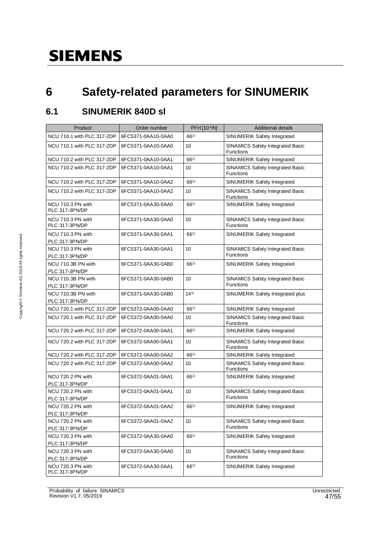### **6 Safety-related parameters for SINUMERIK**

### **6.1 SINUMERIK 840D sl**

| Product                              | Order number       | PFH [10-9/h] | <b>Additional details</b>                                   |
|--------------------------------------|--------------------|--------------|-------------------------------------------------------------|
| NCU 710.1 with PLC 317-2DP           | 6FC5371-0AA10-0AA0 | $66^{1}$     | SINUMERIK Safety Integrated                                 |
| NCU 710.1 with PLC 317-2DP           | 6FC5371-0AA10-0AA0 | 10           | <b>SINAMICS Safety Integrated Basic</b><br><b>Functions</b> |
| NCU 710.2 with PLC 317-2DP           | 6FC5371-0AA10-0AA1 | $66^{1}$     | SINUMERIK Safety Integrated                                 |
| NCU 710.2 with PLC 317-2DP           | 6FC5371-0AA10-0AA1 | 10           | SINAMICS Safety Integrated Basic<br><b>Functions</b>        |
| NCU 710.2 with PLC 317-2DP           | 6FC5371-0AA10-0AA2 | $66^{1}$     | SINUMERIK Safety Integrated                                 |
| NCU 710.2 with PLC 317-2DP           | 6FC5371-0AA10-0AA2 | 10           | <b>SINAMICS Safety Integrated Basic</b><br><b>Functions</b> |
| NCU 710.3 PN with<br>PLC 317-3PN/DP  | 6FC5371-0AA30-0AA0 | $66^{1}$     | SINUMERIK Safety Integrated                                 |
| NCU 710.3 PN with<br>PLC 317-3PN/DP  | 6FC5371-0AA30-0AA0 | 10           | SINAMICS Safety Integrated Basic<br><b>Functions</b>        |
| NCU 710.3 PN with<br>PLC 317-3PN/DP  | 6FC5371-0AA30-0AA1 | $66^{1}$     | SINUMERIK Safety Integrated                                 |
| NCU 710.3 PN with<br>PLC 317-3PN/DP  | 6FC5371-0AA30-0AA1 | 10           | SINAMICS Safety Integrated Basic<br><b>Functions</b>        |
| NCU 710.3B PN with<br>PLC 317-3PN/DP | 6FC5371-0AA30-0AB0 | $66^{1}$     | SINUMERIK Safety Integrated                                 |
| NCU 710.3B PN with<br>PLC 317-3PN/DP | 6FC5371-0AA30-0AB0 | 10           | SINAMICS Safety Integrated Basic<br><b>Functions</b>        |
| NCU 710.3B PN with<br>PLC 317-3PN/DP | 6FC5371-0AA30-0AB0 | $14^{1}$     | SINUMERIK Safety Integrated plus                            |
| NCU 720.1 with PLC 317-2DP           | 6FC5372-0AA00-0AA0 | $66^{1}$     | SINUMERIK Safety Integrated                                 |
| NCU 720.1 with PLC 317-2DP           | 6FC5372-0AA00-0AA0 | 10           | SINAMICS Safety Integrated Basic<br>Functions               |
| NCU 720.2 with PLC 317-2DP           | 6FC5372-0AA00-0AA1 | $66^{1}$     | SINUMERIK Safety Integrated                                 |
| NCU 720.2 with PLC 317-2DP           | 6FC5372-0AA00-0AA1 | 10           | SINAMICS Safety Integrated Basic<br><b>Functions</b>        |
| NCU 720.2 with PLC 317-2DP           | 6FC5372-0AA00-0AA2 | $66^{1}$     | SINUMERIK Safety Integrated                                 |
| NCU 720.2 with PLC 317-2DP           | 6FC5372-0AA00-0AA2 | 10           | <b>SINAMICS Safety Integrated Basic</b><br>Functions        |
| NCU 720.2 PN with<br>PLC 317-3PN/DP  | 6FC5372-0AA01-0AA1 | $66^{1}$     | SINUMERIK Safety Integrated                                 |
| NCU 720.2 PN with<br>PLC 317-3PN/DP  | 6FC5372-0AA01-0AA1 | 10           | SINAMICS Safety Integrated Basic<br>Functions               |
| NCU 720.2 PN with                    | 6FC5372-0AA01-0AA2 | $66^{1}$     | SINUMERIK Safety Integrated                                 |
| PLC 317-3PN/DP<br>NCU 720.2 PN with  | 6FC5372-0AA01-0AA2 | 10           | SINAMICS Safety Integrated Basic                            |
| PLC 317-3PN/DP                       |                    |              | <b>Functions</b>                                            |
| NCU 720.3 PN with                    | 6FC5372-0AA30-0AA0 | $66^{1}$     | SINUMERIK Safety Integrated                                 |
| PLC 317-3PN/DP                       |                    |              |                                                             |
| NCU 720.3 PN with                    | 6FC5372-0AA30-0AA0 | 10           | SINAMICS Safety Integrated Basic                            |
| PLC 317-3PN/DP                       |                    |              | Functions                                                   |
| NCU 720.3 PN with<br>PLC 317-3PN/DP  | 6FC5372-0AA30-0AA1 | $66^{1}$     | SINUMERIK Safety Integrated                                 |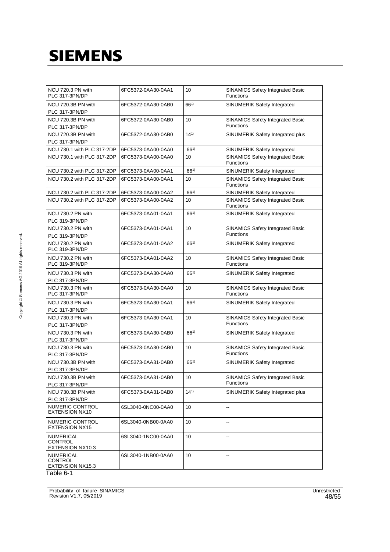| NCU 720.3 PN with<br>PLC 317-3PN/DP             | 6FC5372-0AA30-0AA1 | 10       | SINAMICS Safety Integrated Basic<br>Functions        |
|-------------------------------------------------|--------------------|----------|------------------------------------------------------|
| NCU 720.3B PN with<br>PLC 317-3PN/DP            | 6FC5372-0AA30-0AB0 | 661)     | SINUMERIK Safety Integrated                          |
| NCU 720.3B PN with<br>PLC 317-3PN/DP            | 6FC5372-0AA30-0AB0 | 10       | SINAMICS Safety Integrated Basic<br>Functions        |
| NCU 720.3B PN with<br>PLC 317-3PN/DP            | 6FC5372-0AA30-0AB0 | $14^{1}$ | SINUMERIK Safety Integrated plus                     |
| NCU 730.1 with PLC 317-2DP                      | 6FC5373-0AA00-0AA0 | $66^{1}$ | SINUMERIK Safety Integrated                          |
| NCU 730.1 with PLC 317-2DP                      | 6FC5373-0AA00-0AA0 | 10       | <b>SINAMICS Safety Integrated Basic</b><br>Functions |
| NCU 730.2 with PLC 317-2DP                      | 6FC5373-0AA00-0AA1 | 661)     | SINUMERIK Safety Integrated                          |
| NCU 730.2 with PLC 317-2DP                      | 6FC5373-0AA00-0AA1 | 10       | <b>SINAMICS Safety Integrated Basic</b><br>Functions |
| NCU 730.2 with PLC 317-2DP                      | 6FC5373-0AA00-0AA2 | $66^{1}$ | SINUMERIK Safety Integrated                          |
| NCU 730.2 with PLC 317-2DP                      | 6FC5373-0AA00-0AA2 | 10       | <b>SINAMICS Safety Integrated Basic</b><br>Functions |
| NCU 730.2 PN with<br>PLC 319-3PN/DP             | 6FC5373-0AA01-0AA1 | $66^{1}$ | SINUMERIK Safety Integrated                          |
| NCU 730.2 PN with<br>PLC 319-3PN/DP             | 6FC5373-0AA01-0AA1 | 10       | SINAMICS Safety Integrated Basic<br><b>Functions</b> |
| NCU 730.2 PN with<br>PLC 319-3PN/DP             | 6FC5373-0AA01-0AA2 | $66^{1}$ | SINUMERIK Safety Integrated                          |
| NCU 730.2 PN with<br>PLC 319-3PN/DP             | 6FC5373-0AA01-0AA2 | 10       | SINAMICS Safety Integrated Basic<br>Functions        |
| NCU 730.3 PN with<br>PLC 317-3PN/DP             | 6FC5373-0AA30-0AA0 | $66^{1}$ | SINUMERIK Safety Integrated                          |
| NCU 730.3 PN with<br>PLC 317-3PN/DP             | 6FC5373-0AA30-0AA0 | 10       | SINAMICS Safety Integrated Basic<br>Functions        |
| NCU 730.3 PN with<br>PLC 317-3PN/DP             | 6FC5373-0AA30-0AA1 | $66^{1}$ | SINUMERIK Safety Integrated                          |
| NCU 730.3 PN with<br>PLC 317-3PN/DP             | 6FC5373-0AA30-0AA1 | 10       | SINAMICS Safety Integrated Basic<br><b>Functions</b> |
| NCU 730.3 PN with<br>PLC 317-3PN/DP             | 6FC5373-0AA30-0AB0 | $66^{1}$ | SINUMERIK Safety Integrated                          |
| NCU 730.3 PN with<br>PLC 317-3PN/DP             | 6FC5373-0AA30-0AB0 | 10       | SINAMICS Safety Integrated Basic<br>Functions        |
| NCU 730.3B PN with<br>PLC 317-3PN/DP            | 6FC5373-0AA31-0AB0 | $66^{1}$ | SINUMERIK Safety Integrated                          |
| NCU 730.3B PN with<br>PLC 317-3PN/DP            | 6FC5373-0AA31-0AB0 | 10       | <b>SINAMICS Safety Integrated Basic</b><br>Functions |
| NCU 730.3B PN with<br>PLC 317-3PN/DP            | 6FC5373-0AA31-0AB0 | $14^{1}$ | SINUMERIK Safety Integrated plus                     |
| NUMERIC CONTROL<br><b>EXTENSION NX10</b>        | 6SL3040-0NC00-0AA0 | 10       | --                                                   |
| NUMERIC CONTROL<br><b>EXTENSION NX15</b>        | 6SL3040-0NB00-0AA0 | 10       | --                                                   |
| <b>NUMERICAL</b><br>CONTROL<br>EXTENSION NX10.3 | 6SL3040-1NC00-0AA0 | 10       | --                                                   |
| NUMERICAL<br>CONTROL<br>EXTENSION NX15.3        | 6SL3040-1NB00-0AA0 | 10       | --                                                   |

Table 6-1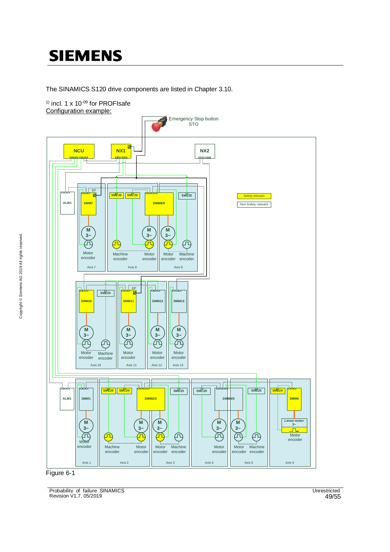The SINAMICS S120 drive components are listed in Chapter 3.10.

 $<sup>1</sup>$  incl. 1 x 10<sup>-09</sup> for PROFIsafe</sup> Configuration example:





Probability\_of\_failure\_SINAMICS Unrestricted Revision V1.7, 05/2019 49/55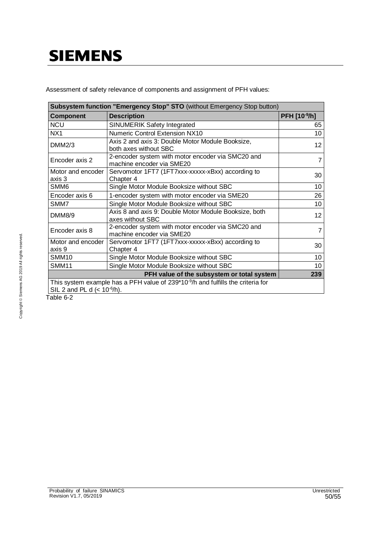Assessment of safety relevance of components and assignment of PFH values:

| <b>Subsystem function "Emergency Stop" STO (without Emergency Stop button)</b>                                                   |                                                                                |                 |  |  |  |
|----------------------------------------------------------------------------------------------------------------------------------|--------------------------------------------------------------------------------|-----------------|--|--|--|
| Component                                                                                                                        | <b>Description</b>                                                             | PFH [10-9/h]    |  |  |  |
| <b>NCU</b>                                                                                                                       | SINUMERIK Safety Integrated                                                    | 65              |  |  |  |
| NX <sub>1</sub>                                                                                                                  | <b>Numeric Control Extension NX10</b>                                          | 10              |  |  |  |
| DMM2/3                                                                                                                           | Axis 2 and axis 3: Double Motor Module Booksize,<br>both axes without SBC      | 12 <sub>2</sub> |  |  |  |
| Encoder axis 2                                                                                                                   | 2-encoder system with motor encoder via SMC20 and<br>machine encoder via SME20 | 7               |  |  |  |
| Motor and encoder<br>axis 3                                                                                                      | Servomotor 1FT7 (1FT7xxx-xxxxx-xBxx) according to<br>Chapter 4                 | 30              |  |  |  |
| SMM6                                                                                                                             | Single Motor Module Booksize without SBC                                       | 10              |  |  |  |
| Encoder axis 6<br>1-encoder system with motor encoder via SME20                                                                  |                                                                                | 26              |  |  |  |
| SMM7<br>Single Motor Module Booksize without SBC                                                                                 |                                                                                | 10              |  |  |  |
| DMM8/9                                                                                                                           | Axis 8 and axis 9: Double Motor Module Booksize, both<br>axes without SBC      | 12 <sub>2</sub> |  |  |  |
| Encoder axis 8                                                                                                                   | 2-encoder system with motor encoder via SMC20 and<br>machine encoder via SME20 | 7               |  |  |  |
| Motor and encoder<br>axis 9                                                                                                      | Servomotor 1FT7 (1FT7xxx-xxxxx-xBxx) according to<br>Chapter 4                 | 30              |  |  |  |
| <b>SMM10</b><br>Single Motor Module Booksize without SBC                                                                         |                                                                                | 10              |  |  |  |
| SMM11                                                                                                                            | Single Motor Module Booksize without SBC                                       | 10              |  |  |  |
| PFH value of the subsystem or total system<br>239                                                                                |                                                                                |                 |  |  |  |
| This system example has a PFH value of 239*10 <sup>-9</sup> /h and fulfills the criteria for<br>SIL 2 and PL d $(< 10^{-6}/h)$ . |                                                                                |                 |  |  |  |

Table 6-2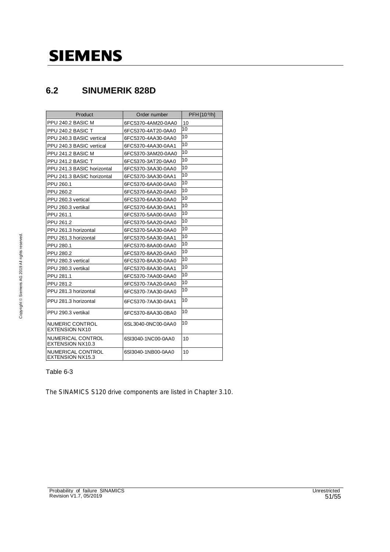### **6.2 SINUMERIK 828D**

| Product                                      | Order number       | PFH [10-9/h] |
|----------------------------------------------|--------------------|--------------|
| PPU 240.2 BASIC M                            | 6FC5370-4AM20-0AA0 | 10           |
| PPU 240.2 BASIC T                            | 6FC5370-4AT20-0AA0 | 10           |
| PPU 240.3 BASIC vertical                     | 6FC5370-4AA30-0AA0 | 10           |
| PPU 240.3 BASIC vertical                     | 6FC5370-4AA30-0AA1 | 10           |
| PPU 241.2 BASIC M                            | 6FC5370-3AM20-0AA0 | 10           |
| PPU 241.2 BASIC T                            | 6FC5370-3AT20-0AA0 | 10           |
| PPU 241.3 BASIC horizontal                   | 6FC5370-3AA30-0AA0 | 10           |
| PPU 241.3 BASIC horizontal                   | 6FC5370-3AA30-0AA1 | 10           |
| PPU 260.1                                    | 6FC5370-6AA00-0AA0 | 10           |
| PPU 260.2                                    | 6FC5370-6AA20-0AA0 | 10           |
| PPU 260.3 vertical                           | 6FC5370-6AA30-0AA0 | 10           |
| PPU 260.3 vertikal                           | 6FC5370-6AA30-0AA1 | 10           |
| PPU 261.1                                    | 6FC5370-5AA00-0AA0 | 10           |
| PPU 261.2                                    | 6FC5370-5AA20-0AA0 | 10           |
| PPU 261.3 horizontal                         | 6FC5370-5AA30-0AA0 | 10           |
| PPU 261.3 horizontal                         | 6FC5370-5AA30-0AA1 | 10           |
| PPU 280.1                                    | 6FC5370-8AA00-0AA0 | 10           |
| PPU 280.2                                    | 6FC5370-8AA20-0AA0 | 10           |
| PPU 280.3 vertical                           | 6FC5370-8AA30-0AA0 | 10           |
| PPU 280.3 vertikal                           | 6FC5370-8AA30-0AA1 | 10           |
| PPU 281.1                                    | 6FC5370-7AA00-0AA0 | 10           |
| PPU 281.2                                    | 6FC5370-7AA20-0AA0 | 10           |
| PPU 281.3 horizontal                         | 6FC5370-7AA30-0AA0 | 10           |
| PPU 281.3 horizontal                         | 6FC5370-7AA30-0AA1 | 10           |
| PPU 290.3 vertikal                           | 6FC5370-8AA30-0BA0 | 10           |
| NUMERIC CONTROL<br><b>EXTENSION NX10</b>     | 6SL3040-0NC00-0AA0 | 10           |
| NUMERICAL CONTROL<br>EXTENSION NX10.3        | 6SI3040-1NC00-0AA0 | 10           |
| NUMERICAL CONTROL<br><b>EXTENSION NX15.3</b> | 6SI3040-1NB00-0AA0 | 10           |

### Table 6-3

The SINAMICS S120 drive components are listed in Chapter 3.10.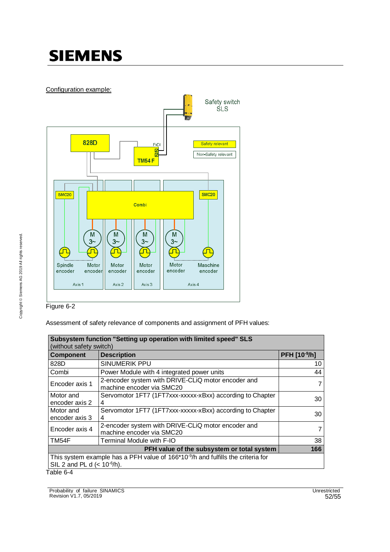Configuration example:



Figure 6-2

Assessment of safety relevance of components and assignment of PFH values:

| Subsystem function "Setting up operation with limited speed" SLS<br>(without safety switch)                                      |                                                                |              |  |  |  |
|----------------------------------------------------------------------------------------------------------------------------------|----------------------------------------------------------------|--------------|--|--|--|
| <b>Component</b>                                                                                                                 | <b>Description</b>                                             | PFH [10-9/h] |  |  |  |
| 828D                                                                                                                             | SINUMERIK PPU                                                  | 10           |  |  |  |
| Combi                                                                                                                            | Power Module with 4 integrated power units                     | 44           |  |  |  |
| 2-encoder system with DRIVE-CLiQ motor encoder and<br>Encoder axis 1<br>machine encoder via SMC20                                |                                                                | 7            |  |  |  |
| Motor and<br>encoder axis 2                                                                                                      | Servomotor 1FT7 (1FT7xxx-xxxxx-xBxx) according to Chapter<br>4 | 30           |  |  |  |
| Motor and<br>encoder axis 3                                                                                                      | Servomotor 1FT7 (1FT7xxx-xxxxx-xBxx) according to Chapter<br>4 | 30           |  |  |  |
| 2-encoder system with DRIVE-CLIQ motor encoder and<br>Encoder axis 4<br>machine encoder via SMC20                                |                                                                | 7            |  |  |  |
| TM54F                                                                                                                            | Terminal Module with F-IO                                      | 38           |  |  |  |
| 166<br>PFH value of the subsystem or total system                                                                                |                                                                |              |  |  |  |
| This system example has a PFH value of 166*10 <sup>-9</sup> /h and fulfills the criteria for<br>SIL 2 and PL d $(< 10^{-6}/h)$ . |                                                                |              |  |  |  |
| Table 6-4                                                                                                                        |                                                                |              |  |  |  |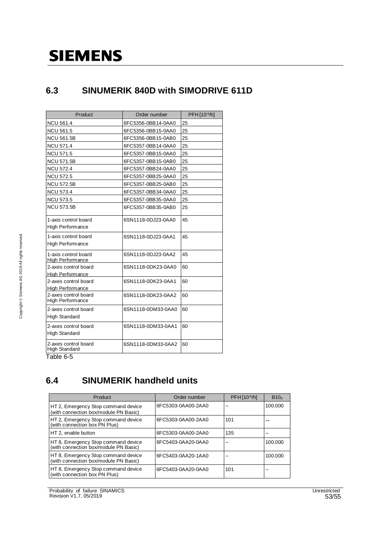### **6.3 SINUMERIK 840D with SIMODRIVE 611D**

| Product                                         | Order number       | PFH [10-9/h] |
|-------------------------------------------------|--------------------|--------------|
| <b>NCU 561.4</b>                                | 6FC5356-0BB14-0AA0 | 25           |
| <b>NCU 561.5</b>                                | 6FC5356-0BB15-0AA0 | 25           |
| <b>NCU 561.5B</b>                               | 6FC5356-0BB15-0AB0 | 25           |
| NCU 571.4                                       | 6FC5357-0BB14-0AA0 | 25           |
| <b>NCU 571.5</b>                                | 6FC5357-0BB15-0AA0 | 25           |
| <b>NCU 571.5B</b>                               | 6FC5357-0BB15-0AB0 | 25           |
| <b>NCU 572.4</b>                                | 6FC5357-0BB24-0AA0 | 25           |
| <b>NCU 572.5</b>                                | 6FC5357-0BB25-0AA0 | 25           |
| <b>NCU 572.5B</b>                               | 6FC5357-0BB25-0AB0 | 25           |
| <b>NCU 573.4</b>                                | 6FC5357-0BB34-0AA0 | 25           |
| <b>NCU 573.5</b>                                | 6FC5357-0BB35-0AA0 | 25           |
| <b>NCU 573.5B</b>                               | 6FC5357-0BB35-0AB0 | 25           |
| 1-axis control board<br><b>High Performance</b> | 6SN1118-0DJ23-0AA0 | 45           |
| 1-axis control board<br>High Performance        | 6SN1118-0DJ23-0AA1 | 45           |
| 1-axis control board<br><b>High Performance</b> | 6SN1118-0DJ23-0AA2 | 45           |
| 2-axes control board<br><b>High Performance</b> | 6SN1118-0DK23-0AA0 | 60           |
| 2-axes control board<br>High Performance        | 6SN1118-0DK23-0AA1 | 60           |
| 2-axes control board<br><b>High Performance</b> | 6SN1118-0DK23-0AA2 | 60           |
| 2-axes control board<br>High Standard           | 6SN1118-0DM33-0AA0 | 60           |
| 2-axes control board<br><b>High Standard</b>    | 6SN1118-0DM33-0AA1 | 60           |
| 2-axes control board<br><b>High Standard</b>    | 6SN1118-0DM33-0AA2 | 60           |

Table 6-5

### **6.4 SINUMERIK handheld units**

| Product                                                                      | Order number       | PFH [10-9/h] | B10 <sub>d</sub> |
|------------------------------------------------------------------------------|--------------------|--------------|------------------|
| HT 2, Emergency Stop command device<br>(with connection box/module PN Basic) | 6FC5303-0AA00-2AA0 |              | 100.000          |
| HT 2, Emergency Stop command device<br>(with connection box PN Plus)         | 6FC5303-0AA00-2AA0 | 101          |                  |
| HT 2, enable button                                                          | 6FC5303-0AA00-2AA0 | 135          |                  |
| HT 8, Emergency Stop command device<br>(with connection box/module PN Basic) | 6FC5403-0AA20-0AA0 |              | 100.000          |
| HT 8, Emergency Stop command device<br>(with connection box/module PN Basic) | 6FC5403-0AA20-1AA0 |              | 100.000          |
| HT 8, Emergency Stop command device<br>(with connection box PN Plus)         | 6FC5403-0AA20-0AA0 | 101          |                  |

Probability\_of\_failure\_SINAMICS Unrestricted Revision V1.7, 05/2019 53/55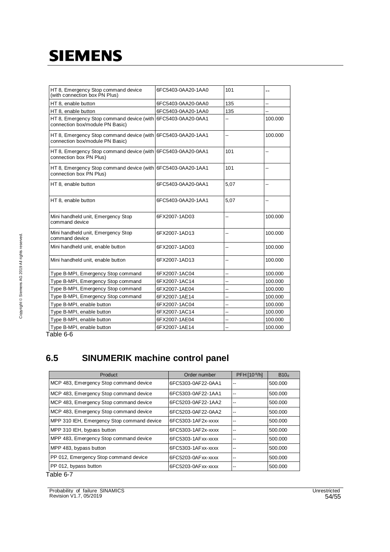| HT 8, Emergency Stop command device<br>(with connection box PN Plus)                            | 6FC5403-0AA20-1AA0 | 101  |         |
|-------------------------------------------------------------------------------------------------|--------------------|------|---------|
| HT 8, enable button                                                                             | 6FC5403-0AA20-0AA0 | 135  |         |
| HT 8, enable button                                                                             | 6FC5403-0AA20-1AA0 | 135  | --      |
| HT 8, Emergency Stop command device (with 6FC5403-0AA20-0AA1<br>connection box/module PN Basic) |                    | --   | 100.000 |
| HT 8, Emergency Stop command device (with 6FC5403-0AA20-1AA1<br>connection box/module PN Basic) |                    | -−   | 100.000 |
| HT 8, Emergency Stop command device (with 6FC5403-0AA20-0AA1<br>connection box PN Plus)         |                    | 101  |         |
| HT 8, Emergency Stop command device (with 6FC5403-0AA20-1AA1<br>connection box PN Plus)         |                    | 101  |         |
| HT 8, enable button                                                                             | 6FC5403-0AA20-0AA1 | 5,07 |         |
| HT 8, enable button                                                                             | 6FC5403-0AA20-1AA1 | 5.07 |         |
| Mini handheld unit, Emergency Stop<br>command device                                            | 6FX2007-1AD03      | -−   | 100.000 |
| Mini handheld unit, Emergency Stop<br>command device                                            | 6FX2007-1AD13      | --   | 100.000 |
| Mini handheld unit, enable button                                                               | 6FX2007-1AD03      | --   | 100.000 |
| Mini handheld unit, enable button                                                               | 6FX2007-1AD13      | --   | 100.000 |
| Type B-MPI, Emergency Stop command                                                              | 6FX2007-1AC04      | --   | 100.000 |
| Type B-MPI, Emergency Stop command                                                              | 6FX2007-1AC14      | --   | 100.000 |
| Type B-MPI, Emergency Stop command                                                              | 6FX2007-1AE04      | --   | 100.000 |
| Type B-MPI, Emergency Stop command                                                              | 6FX2007-1AE14      | --   | 100.000 |
| Type B-MPI, enable button                                                                       | 6FX2007-1AC04      | --   | 100.000 |
| Type B-MPI, enable button                                                                       | 6FX2007-1AC14      | --   | 100.000 |
| Type B-MPI, enable button                                                                       | 6FX2007-1AE04      | --   | 100.000 |
| Type B-MPI, enable button                                                                       | 6FX2007-1AE14      | --   | 100.000 |
| $Table 6-6$                                                                                     |                    |      |         |

Table 6-6

### **6.5 SINUMERIK machine control panel**

| Product                                    | Order number       | $PFH[10-9/h]$ | B10 <sub>d</sub> |
|--------------------------------------------|--------------------|---------------|------------------|
| MCP 483, Emergency Stop command device     | 6FC5303-0AF22-0AA1 |               | 500.000          |
| MCP 483, Emergency Stop command device     | 6FC5303-0AF22-1AA1 | --            | 500.000          |
| MCP 483, Emergency Stop command device     | 6FC5203-0AF22-1AA2 | --            | 500.000          |
| MCP 483, Emergency Stop command device     | 6FC5203-0AF22-0AA2 |               | 500,000          |
| MPP 310 IEH, Emergency Stop command device | 6FC5303-1AF2x-xxxx |               | 500,000          |
| MPP 310 IEH, bypass button                 | 6FC5303-1AF2x-xxxx | --            | 500.000          |
| MPP 483, Emergency Stop command device     | 6FC5303-1AFxx-xxxx |               | 500.000          |
| MPP 483, bypass button                     | 6FC5303-1AFxx-xxxx |               | 500.000          |
| PP 012, Emergency Stop command device      | 6FC5203-0AFxx-xxxx | --            | 500,000          |
| PP 012, bypass button                      | 6FC5203-0AFxx-xxxx |               | 500.000          |

Table 6-7

Probability\_of\_failure\_SINAMICS Unrestricted Revision V1.7, 05/2019 54/55